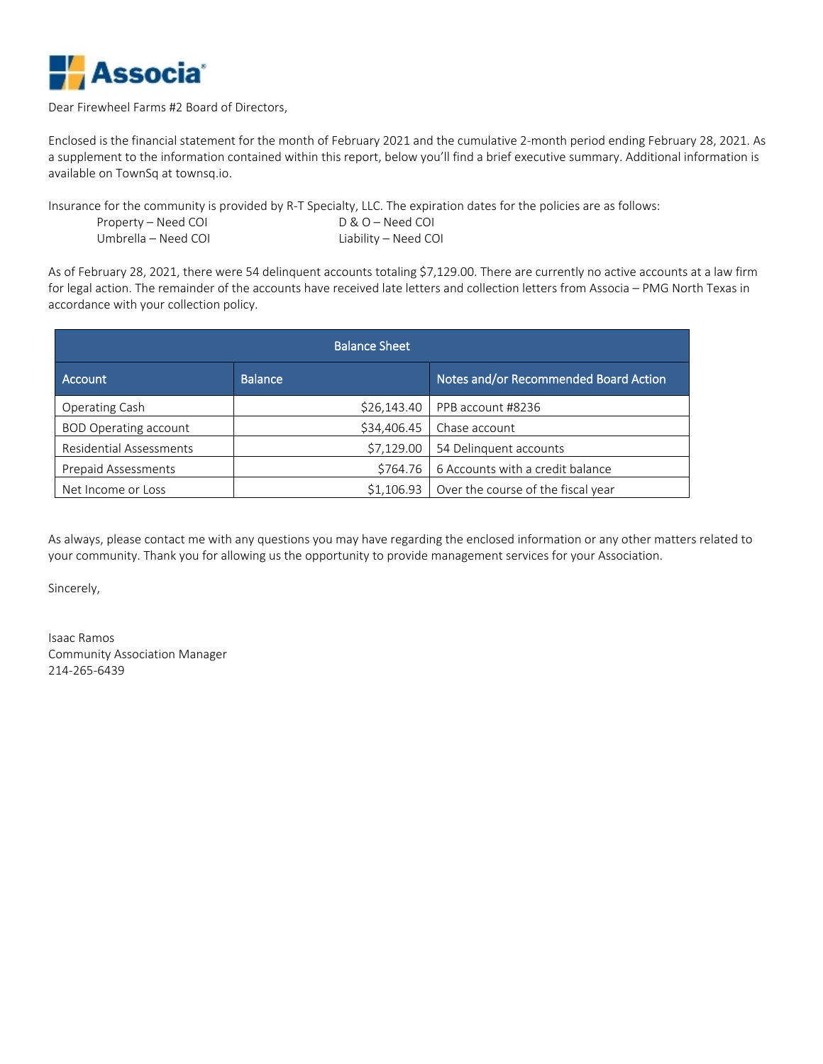

#### Dear Firewheel Farms #2 Board of Directors,

Enclosed is the financial statement for the month of February 2021 and the cumulative 2-month period ending February 28, 2021. As a supplement to the information contained within this report, below you'll find a brief executive summary. Additional information is available on TownSq at townsq.io.

Insurance for the community is provided by R-T Specialty, LLC. The expiration dates for the policies are as follows: Property – Need COI D & O – Need COI Umbrella – Need COI Liability – Need COI

As of February 28, 2021, there were 54 delinquent accounts totaling \$7,129.00. There are currently no active accounts at a law firm for legal action. The remainder of the accounts have received late letters and collection letters from Associa – PMG North Texas in accordance with your collection policy.

| <b>Balance Sheet</b>         |                |                                       |  |  |  |  |  |  |  |  |
|------------------------------|----------------|---------------------------------------|--|--|--|--|--|--|--|--|
| Account                      | <b>Balance</b> | Notes and/or Recommended Board Action |  |  |  |  |  |  |  |  |
| Operating Cash               | \$26,143.40    | PPB account #8236                     |  |  |  |  |  |  |  |  |
| <b>BOD Operating account</b> | \$34,406.45    | Chase account                         |  |  |  |  |  |  |  |  |
| Residential Assessments      | \$7,129.00     | 54 Delinquent accounts                |  |  |  |  |  |  |  |  |
| <b>Prepaid Assessments</b>   | \$764.76       | 6 Accounts with a credit balance      |  |  |  |  |  |  |  |  |
| Net Income or Loss           | \$1,106.93     | Over the course of the fiscal year    |  |  |  |  |  |  |  |  |

As always, please contact me with any questions you may have regarding the enclosed information or any other matters related to your community. Thank you for allowing us the opportunity to provide management services for your Association.

Sincerely,

Isaac Ramos Community Association Manager 214-265-6439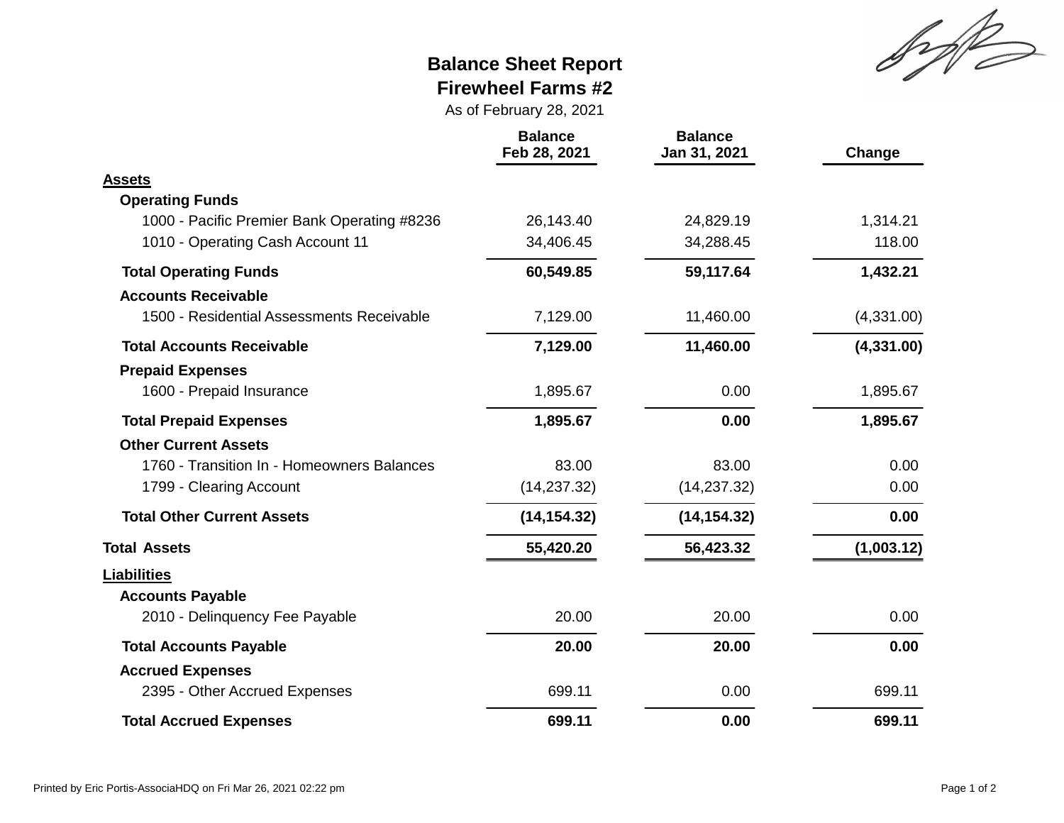Sylt

## **Balance Sheet Report Firewheel Farms #2**

As of February 28, 2021

|                                             | <b>Balance</b><br>Feb 28, 2021 | <b>Balance</b><br>Jan 31, 2021 | Change     |
|---------------------------------------------|--------------------------------|--------------------------------|------------|
| <b>Assets</b>                               |                                |                                |            |
| <b>Operating Funds</b>                      |                                |                                |            |
| 1000 - Pacific Premier Bank Operating #8236 | 26,143.40                      | 24,829.19                      | 1,314.21   |
| 1010 - Operating Cash Account 11            | 34,406.45                      | 34,288.45                      | 118.00     |
| <b>Total Operating Funds</b>                | 60,549.85                      | 59,117.64                      | 1,432.21   |
| <b>Accounts Receivable</b>                  |                                |                                |            |
| 1500 - Residential Assessments Receivable   | 7,129.00                       | 11,460.00                      | (4,331.00) |
| <b>Total Accounts Receivable</b>            | 7,129.00                       | 11,460.00                      | (4,331.00) |
| <b>Prepaid Expenses</b>                     |                                |                                |            |
| 1600 - Prepaid Insurance                    | 1,895.67                       | 0.00                           | 1,895.67   |
| <b>Total Prepaid Expenses</b>               | 1,895.67                       | 0.00                           | 1,895.67   |
| <b>Other Current Assets</b>                 |                                |                                |            |
| 1760 - Transition In - Homeowners Balances  | 83.00                          | 83.00                          | 0.00       |
| 1799 - Clearing Account                     | (14, 237.32)                   | (14, 237.32)                   | 0.00       |
| <b>Total Other Current Assets</b>           | (14, 154.32)                   | (14, 154.32)                   | 0.00       |
| <b>Total Assets</b>                         | 55,420.20                      | 56,423.32                      | (1,003.12) |
| <b>Liabilities</b>                          |                                |                                |            |
| <b>Accounts Payable</b>                     |                                |                                |            |
| 2010 - Delinquency Fee Payable              | 20.00                          | 20.00                          | 0.00       |
| <b>Total Accounts Payable</b>               | 20.00                          | 20.00                          | 0.00       |
| <b>Accrued Expenses</b>                     |                                |                                |            |
| 2395 - Other Accrued Expenses               | 699.11                         | 0.00                           | 699.11     |
| <b>Total Accrued Expenses</b>               | 699.11                         | 0.00                           | 699.11     |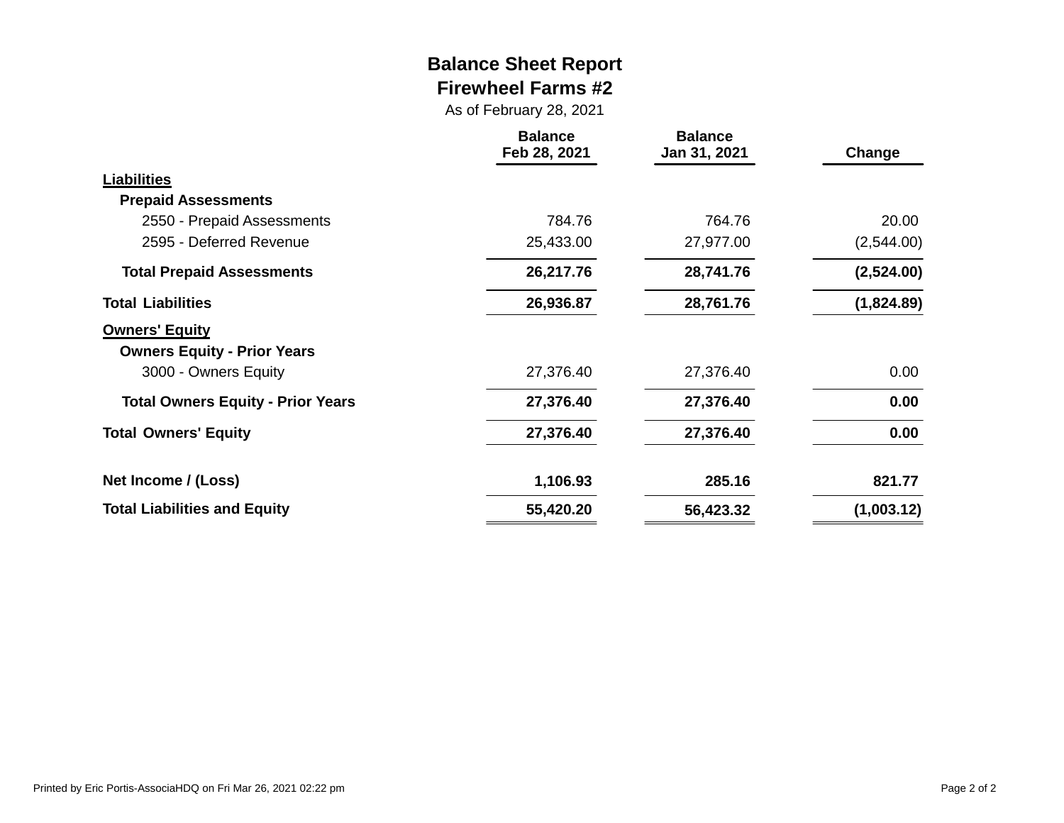### **Balance Sheet Report Firewheel Farms #2**

As of February 28, 2021

|                                                             | <b>Balance</b><br>Feb 28, 2021 | <b>Balance</b><br>Jan 31, 2021 | Change     |
|-------------------------------------------------------------|--------------------------------|--------------------------------|------------|
| <b>Liabilities</b>                                          |                                |                                |            |
| <b>Prepaid Assessments</b>                                  |                                |                                |            |
| 2550 - Prepaid Assessments                                  | 784.76                         | 764.76                         | 20.00      |
| 2595 - Deferred Revenue                                     | 25,433.00                      | 27,977.00                      | (2,544.00) |
| <b>Total Prepaid Assessments</b>                            | 26,217.76                      | 28,741.76                      | (2,524.00) |
| <b>Total Liabilities</b>                                    | 26,936.87                      | 28,761.76                      | (1,824.89) |
| <b>Owners' Equity</b><br><b>Owners Equity - Prior Years</b> |                                |                                |            |
| 3000 - Owners Equity                                        | 27,376.40                      | 27,376.40                      | 0.00       |
| <b>Total Owners Equity - Prior Years</b>                    | 27,376.40                      | 27,376.40                      | 0.00       |
| <b>Total Owners' Equity</b>                                 | 27,376.40                      | 27,376.40                      | 0.00       |
| Net Income / (Loss)                                         | 1,106.93                       | 285.16                         | 821.77     |
| <b>Total Liabilities and Equity</b>                         | 55,420.20                      | 56,423.32                      | (1,003.12) |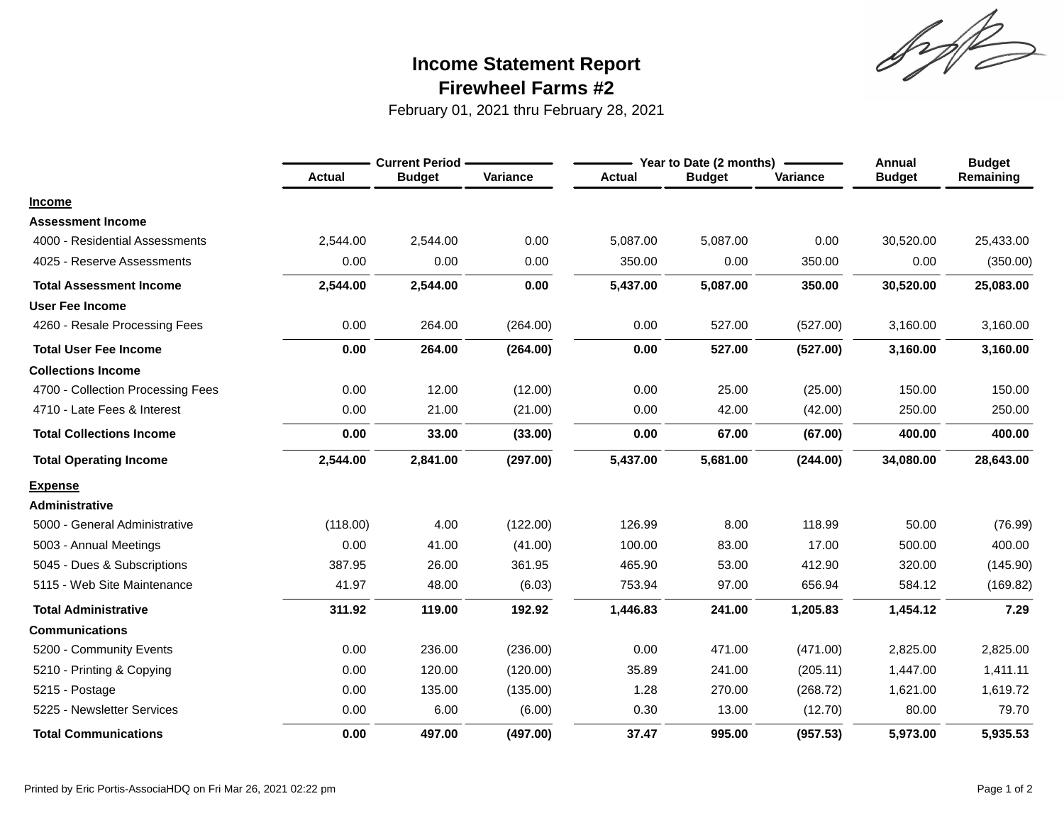Sylt

## **Firewheel Farms #2 Income Statement Report**

February 01, 2021 thru February 28, 2021

|                                   |               | <b>Current Period -</b> |          |               | Year to Date (2 months) |          | <b>Annual</b> | <b>Budget</b> |
|-----------------------------------|---------------|-------------------------|----------|---------------|-------------------------|----------|---------------|---------------|
|                                   | <b>Actual</b> | <b>Budget</b>           | Variance | <b>Actual</b> | <b>Budget</b>           | Variance | <b>Budget</b> | Remaining     |
| <b>Income</b>                     |               |                         |          |               |                         |          |               |               |
| <b>Assessment Income</b>          |               |                         |          |               |                         |          |               |               |
| 4000 - Residential Assessments    | 2,544.00      | 2,544.00                | 0.00     | 5,087.00      | 5,087.00                | 0.00     | 30,520.00     | 25,433.00     |
| 4025 - Reserve Assessments        | 0.00          | 0.00                    | 0.00     | 350.00        | 0.00                    | 350.00   | 0.00          | (350.00)      |
| <b>Total Assessment Income</b>    | 2,544.00      | 2,544.00                | 0.00     | 5,437.00      | 5,087.00                | 350.00   | 30,520.00     | 25,083.00     |
| <b>User Fee Income</b>            |               |                         |          |               |                         |          |               |               |
| 4260 - Resale Processing Fees     | 0.00          | 264.00                  | (264.00) | 0.00          | 527.00                  | (527.00) | 3,160.00      | 3,160.00      |
| <b>Total User Fee Income</b>      | 0.00          | 264.00                  | (264.00) | 0.00          | 527.00                  | (527.00) | 3,160.00      | 3,160.00      |
| <b>Collections Income</b>         |               |                         |          |               |                         |          |               |               |
| 4700 - Collection Processing Fees | 0.00          | 12.00                   | (12.00)  | 0.00          | 25.00                   | (25.00)  | 150.00        | 150.00        |
| 4710 - Late Fees & Interest       | 0.00          | 21.00                   | (21.00)  | 0.00          | 42.00                   | (42.00)  | 250.00        | 250.00        |
| <b>Total Collections Income</b>   | 0.00          | 33.00                   | (33.00)  | 0.00          | 67.00                   | (67.00)  | 400.00        | 400.00        |
| <b>Total Operating Income</b>     | 2,544.00      | 2,841.00                | (297.00) | 5,437.00      | 5,681.00                | (244.00) | 34,080.00     | 28,643.00     |
| <b>Expense</b>                    |               |                         |          |               |                         |          |               |               |
| <b>Administrative</b>             |               |                         |          |               |                         |          |               |               |
| 5000 - General Administrative     | (118.00)      | 4.00                    | (122.00) | 126.99        | 8.00                    | 118.99   | 50.00         | (76.99)       |
| 5003 - Annual Meetings            | 0.00          | 41.00                   | (41.00)  | 100.00        | 83.00                   | 17.00    | 500.00        | 400.00        |
| 5045 - Dues & Subscriptions       | 387.95        | 26.00                   | 361.95   | 465.90        | 53.00                   | 412.90   | 320.00        | (145.90)      |
| 5115 - Web Site Maintenance       | 41.97         | 48.00                   | (6.03)   | 753.94        | 97.00                   | 656.94   | 584.12        | (169.82)      |
| <b>Total Administrative</b>       | 311.92        | 119.00                  | 192.92   | 1,446.83      | 241.00                  | 1,205.83 | 1,454.12      | 7.29          |
| <b>Communications</b>             |               |                         |          |               |                         |          |               |               |
| 5200 - Community Events           | 0.00          | 236.00                  | (236.00) | 0.00          | 471.00                  | (471.00) | 2,825.00      | 2,825.00      |
| 5210 - Printing & Copying         | 0.00          | 120.00                  | (120.00) | 35.89         | 241.00                  | (205.11) | 1,447.00      | 1,411.11      |
| 5215 - Postage                    | 0.00          | 135.00                  | (135.00) | 1.28          | 270.00                  | (268.72) | 1,621.00      | 1,619.72      |
| 5225 - Newsletter Services        | 0.00          | 6.00                    | (6.00)   | 0.30          | 13.00                   | (12.70)  | 80.00         | 79.70         |
| <b>Total Communications</b>       | 0.00          | 497.00                  | (497.00) | 37.47         | 995.00                  | (957.53) | 5,973.00      | 5,935.53      |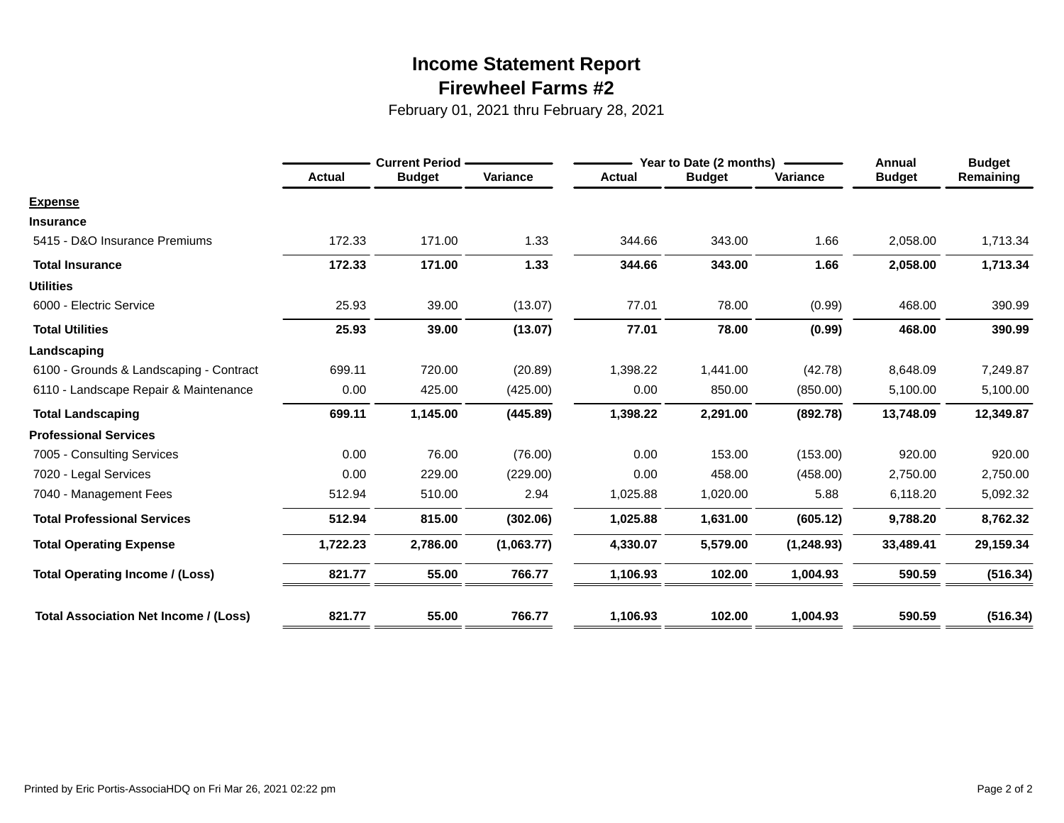## **Firewheel Farms #2 Income Statement Report**

February 01, 2021 thru February 28, 2021

|                                              |               | <b>Current Period</b> |            |               | Year to Date (2 months) | <b>Annual</b> | <b>Budget</b> |           |
|----------------------------------------------|---------------|-----------------------|------------|---------------|-------------------------|---------------|---------------|-----------|
|                                              | <b>Actual</b> | <b>Budget</b>         | Variance   | <b>Actual</b> | <b>Budget</b>           | Variance      | <b>Budget</b> | Remaining |
| <b>Expense</b>                               |               |                       |            |               |                         |               |               |           |
| <b>Insurance</b>                             |               |                       |            |               |                         |               |               |           |
| 5415 - D&O Insurance Premiums                | 172.33        | 171.00                | 1.33       | 344.66        | 343.00                  | 1.66          | 2,058.00      | 1,713.34  |
| <b>Total Insurance</b>                       | 172.33        | 171.00                | 1.33       | 344.66        | 343.00                  | 1.66          | 2,058.00      | 1,713.34  |
| <b>Utilities</b>                             |               |                       |            |               |                         |               |               |           |
| 6000 - Electric Service                      | 25.93         | 39.00                 | (13.07)    | 77.01         | 78.00                   | (0.99)        | 468.00        | 390.99    |
| <b>Total Utilities</b>                       | 25.93         | 39.00                 | (13.07)    | 77.01         | 78.00                   | (0.99)        | 468.00        | 390.99    |
| Landscaping                                  |               |                       |            |               |                         |               |               |           |
| 6100 - Grounds & Landscaping - Contract      | 699.11        | 720.00                | (20.89)    | 1,398.22      | 1,441.00                | (42.78)       | 8,648.09      | 7,249.87  |
| 6110 - Landscape Repair & Maintenance        | 0.00          | 425.00                | (425.00)   | 0.00          | 850.00                  | (850.00)      | 5,100.00      | 5,100.00  |
| <b>Total Landscaping</b>                     | 699.11        | 1,145.00              | (445.89)   | 1,398.22      | 2,291.00                | (892.78)      | 13,748.09     | 12,349.87 |
| <b>Professional Services</b>                 |               |                       |            |               |                         |               |               |           |
| 7005 - Consulting Services                   | 0.00          | 76.00                 | (76.00)    | 0.00          | 153.00                  | (153.00)      | 920.00        | 920.00    |
| 7020 - Legal Services                        | 0.00          | 229.00                | (229.00)   | 0.00          | 458.00                  | (458.00)      | 2,750.00      | 2,750.00  |
| 7040 - Management Fees                       | 512.94        | 510.00                | 2.94       | 1,025.88      | 1,020.00                | 5.88          | 6,118.20      | 5,092.32  |
| <b>Total Professional Services</b>           | 512.94        | 815.00                | (302.06)   | 1,025.88      | 1,631.00                | (605.12)      | 9,788.20      | 8,762.32  |
| <b>Total Operating Expense</b>               | 1,722.23      | 2,786.00              | (1,063.77) | 4,330.07      | 5,579.00                | (1,248.93)    | 33,489.41     | 29,159.34 |
| <b>Total Operating Income / (Loss)</b>       | 821.77        | 55.00                 | 766.77     | 1,106.93      | 102.00                  | 1,004.93      | 590.59        | (516.34)  |
| <b>Total Association Net Income / (Loss)</b> | 821.77        | 55.00                 | 766.77     | 1,106.93      | 102.00                  | 1,004.93      | 590.59        | (516.34)  |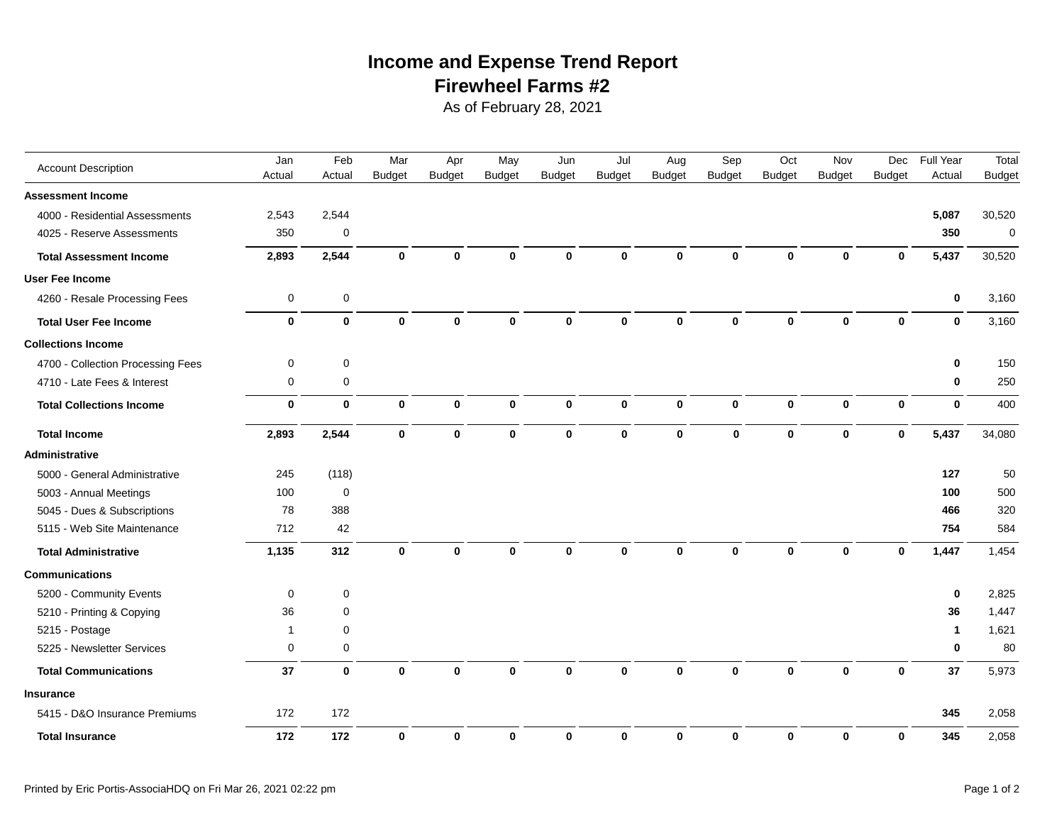## **Firewheel Farms #2 Income and Expense Trend Report**

As of February 28, 2021

| <b>Account Description</b>        | Jan          | Feb         | Mar           | Apr           | May           | Jun           | Jul           | Aug           | Sep           | Oct           | Nov           | Dec           | Full Year    | Total         |
|-----------------------------------|--------------|-------------|---------------|---------------|---------------|---------------|---------------|---------------|---------------|---------------|---------------|---------------|--------------|---------------|
|                                   | Actual       | Actual      | <b>Budget</b> | <b>Budget</b> | <b>Budget</b> | <b>Budget</b> | <b>Budget</b> | <b>Budget</b> | <b>Budget</b> | <b>Budget</b> | <b>Budget</b> | <b>Budget</b> | Actual       | <b>Budget</b> |
| <b>Assessment Income</b>          |              |             |               |               |               |               |               |               |               |               |               |               |              |               |
| 4000 - Residential Assessments    | 2,543        | 2,544       |               |               |               |               |               |               |               |               |               |               | 5,087        | 30,520        |
| 4025 - Reserve Assessments        | 350          | $\mathbf 0$ |               |               |               |               |               |               |               |               |               |               | 350          | $\mathbf 0$   |
| <b>Total Assessment Income</b>    | 2,893        | 2,544       | $\bf{0}$      | $\mathbf 0$   | $\mathbf 0$   | $\bf{0}$      | $\Omega$      | $\bf{0}$      | $\bf{0}$      | $\mathbf 0$   | $\bf{0}$      | $\bf{0}$      | 5,437        | 30,520        |
| <b>User Fee Income</b>            |              |             |               |               |               |               |               |               |               |               |               |               |              |               |
| 4260 - Resale Processing Fees     | 0            | 0           |               |               |               |               |               |               |               |               |               |               | $\bf{0}$     | 3,160         |
| <b>Total User Fee Income</b>      | $\mathbf 0$  | $\mathbf 0$ | $\mathbf 0$   | $\mathbf 0$   | $\mathbf 0$   | $\Omega$      | $\Omega$      | $\bf{0}$      | $\bf{0}$      | $\mathbf 0$   | $\bf{0}$      | $\mathbf{0}$  | $\mathbf{0}$ | 3,160         |
| <b>Collections Income</b>         |              |             |               |               |               |               |               |               |               |               |               |               |              |               |
| 4700 - Collection Processing Fees | $\pmb{0}$    | $\mathsf 0$ |               |               |               |               |               |               |               |               |               |               | $\bf{0}$     | 150           |
| 4710 - Late Fees & Interest       | 0            | 0           |               |               |               |               |               |               |               |               |               |               | $\mathbf 0$  | 250           |
| <b>Total Collections Income</b>   | $\mathbf 0$  | $\mathbf 0$ | $\mathbf 0$   | $\mathbf 0$   | $\mathbf 0$   | $\mathbf 0$   | $\mathbf 0$   | $\mathbf{0}$  | $\mathbf 0$   | $\mathbf{0}$  | $\mathbf 0$   | $\mathbf 0$   | $\mathbf 0$  | 400           |
| <b>Total Income</b>               | 2,893        | 2,544       | $\pmb{0}$     | $\mathbf 0$   | $\pmb{0}$     | $\bf{0}$      | 0             | $\mathbf 0$   | $\mathbf 0$   | $\mathbf 0$   | $\bf{0}$      | $\mathbf 0$   | 5,437        | 34,080        |
| Administrative                    |              |             |               |               |               |               |               |               |               |               |               |               |              |               |
| 5000 - General Administrative     | 245          | (118)       |               |               |               |               |               |               |               |               |               |               | 127          | 50            |
| 5003 - Annual Meetings            | 100          | $\mathbf 0$ |               |               |               |               |               |               |               |               |               |               | 100          | 500           |
| 5045 - Dues & Subscriptions       | 78           | 388         |               |               |               |               |               |               |               |               |               |               | 466          | 320           |
| 5115 - Web Site Maintenance       | 712          | 42          |               |               |               |               |               |               |               |               |               |               | 754          | 584           |
| <b>Total Administrative</b>       | 1,135        | 312         | $\mathbf 0$   | $\mathbf 0$   | $\bf{0}$      | $\mathbf{0}$  | $\mathbf{0}$  | $\bf{0}$      | $\bf{0}$      | $\mathbf 0$   | $\bf{0}$      | $\mathbf{0}$  | 1,447        | 1,454         |
| <b>Communications</b>             |              |             |               |               |               |               |               |               |               |               |               |               |              |               |
| 5200 - Community Events           | 0            | 0           |               |               |               |               |               |               |               |               |               |               | $\mathbf 0$  | 2,825         |
| 5210 - Printing & Copying         | 36           | 0           |               |               |               |               |               |               |               |               |               |               | 36           | 1,447         |
| 5215 - Postage                    | $\mathbf{1}$ | 0           |               |               |               |               |               |               |               |               |               |               | $\mathbf 1$  | 1,621         |
| 5225 - Newsletter Services        | 0            | $\mathbf 0$ |               |               |               |               |               |               |               |               |               |               | $\mathbf 0$  | 80            |
| <b>Total Communications</b>       | 37           | $\mathbf 0$ | $\mathbf 0$   | $\bf{0}$      | $\bf{0}$      | $\bf{0}$      | $\bf{0}$      | $\bf{0}$      | 0             | $\bf{0}$      | $\bf{0}$      | $\bf{0}$      | 37           | 5,973         |
| <b>Insurance</b>                  |              |             |               |               |               |               |               |               |               |               |               |               |              |               |
| 5415 - D&O Insurance Premiums     | 172          | 172         |               |               |               |               |               |               |               |               |               |               | 345          | 2,058         |
| <b>Total Insurance</b>            | 172          | 172         | $\bf{0}$      | $\bf{0}$      | $\bf{0}$      | $\bf{0}$      | $\mathbf 0$   | $\mathbf 0$   | $\mathbf{0}$  | $\bf{0}$      | $\mathbf 0$   | $\mathbf 0$   | 345          | 2,058         |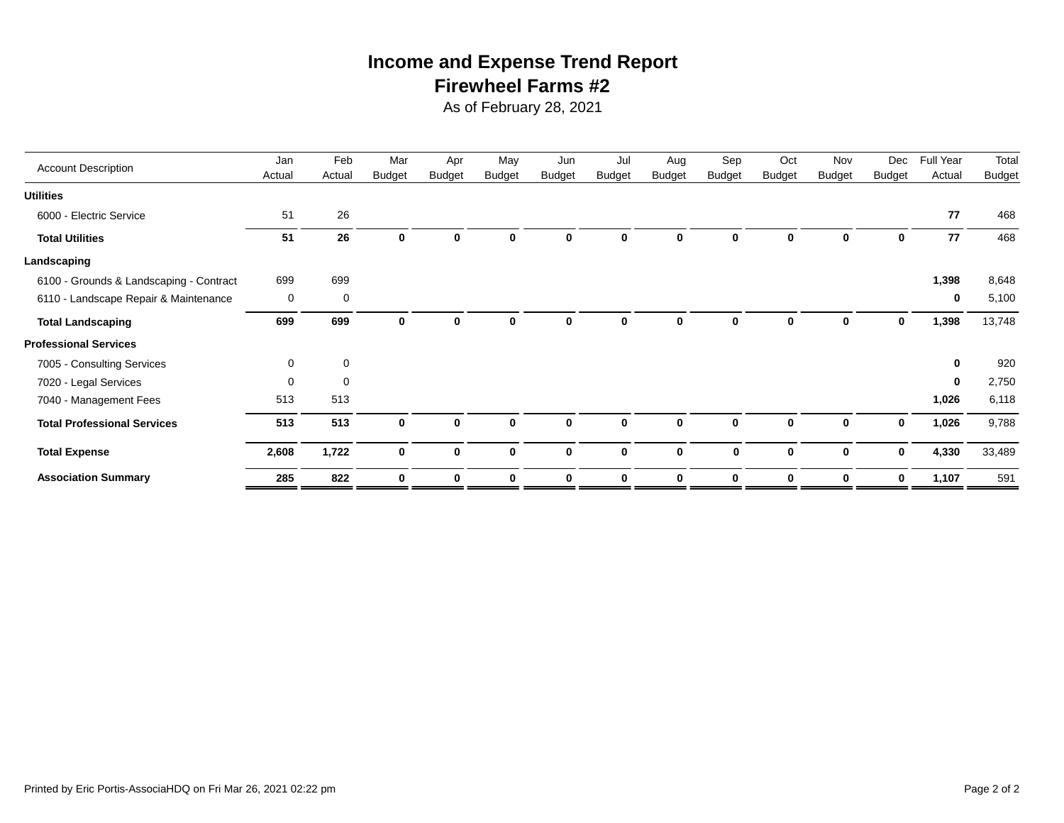## **Firewheel Farms #2 Income and Expense Trend Report**

As of February 28, 2021

| <b>Account Description</b>              | Jan         | Feb         | Mar           | Apr           | May           | Jun           | Jul           | Aug           | Sep           | Oct           | Nov           | Dec           | Full Year   | Total         |
|-----------------------------------------|-------------|-------------|---------------|---------------|---------------|---------------|---------------|---------------|---------------|---------------|---------------|---------------|-------------|---------------|
|                                         | Actual      | Actual      | <b>Budget</b> | <b>Budget</b> | <b>Budget</b> | <b>Budget</b> | <b>Budget</b> | <b>Budget</b> | <b>Budget</b> | <b>Budget</b> | <b>Budget</b> | <b>Budget</b> | Actual      | <b>Budget</b> |
| <b>Utilities</b>                        |             |             |               |               |               |               |               |               |               |               |               |               |             |               |
| 6000 - Electric Service                 | 51          | 26          |               |               |               |               |               |               |               |               |               |               | 77          | 468           |
| <b>Total Utilities</b>                  | 51          | 26          | 0             | $\bf{0}$      | $\bf{0}$      | $\mathbf{0}$  | 0             | O             | 0             | $\bf{0}$      | $\bf{0}$      | 0             | 77          | 468           |
| Landscaping                             |             |             |               |               |               |               |               |               |               |               |               |               |             |               |
| 6100 - Grounds & Landscaping - Contract | 699         | 699         |               |               |               |               |               |               |               |               |               |               | 1,398       | 8,648         |
| 6110 - Landscape Repair & Maintenance   | 0           | 0           |               |               |               |               |               |               |               |               |               |               | $\mathbf 0$ | 5,100         |
| <b>Total Landscaping</b>                | 699         | 699         | 0             | $\mathbf 0$   | 0             | 0             | 0             |               | 0             | 0             | 0             | 0             | 1,398       | 13,748        |
| <b>Professional Services</b>            |             |             |               |               |               |               |               |               |               |               |               |               |             |               |
| 7005 - Consulting Services              | $\mathbf 0$ | 0           |               |               |               |               |               |               |               |               |               |               | 0           | 920           |
| 7020 - Legal Services                   | $\Omega$    | $\mathbf 0$ |               |               |               |               |               |               |               |               |               |               | $\bf{0}$    | 2,750         |
| 7040 - Management Fees                  | 513         | 513         |               |               |               |               |               |               |               |               |               |               | 1,026       | 6,118         |
| <b>Total Professional Services</b>      | 513         | 513         | $\bf{0}$      | $\mathbf 0$   | $\bf{0}$      | $\mathbf 0$   | $\bf{0}$      | $\bf{0}$      | 0             | $\bf{0}$      | 0             | $\mathbf 0$   | 1,026       | 9,788         |
| <b>Total Expense</b>                    | 2,608       | 1,722       | $\bf{0}$      | $\mathbf 0$   | $\bf{0}$      | $\bf{0}$      | $\mathbf{0}$  | $\mathbf{0}$  | $\bf{0}$      | $\bf{0}$      | $\bf{0}$      | $\bf{0}$      | 4,330       | 33,489        |
| <b>Association Summary</b>              | 285         | 822         | $\mathbf 0$   | 0             | $\bf{0}$      | 0             | $\bf{0}$      | $\bf{0}$      | $\bf{0}$      | $\bf{0}$      | 0             | 0             | 1,107       | 591           |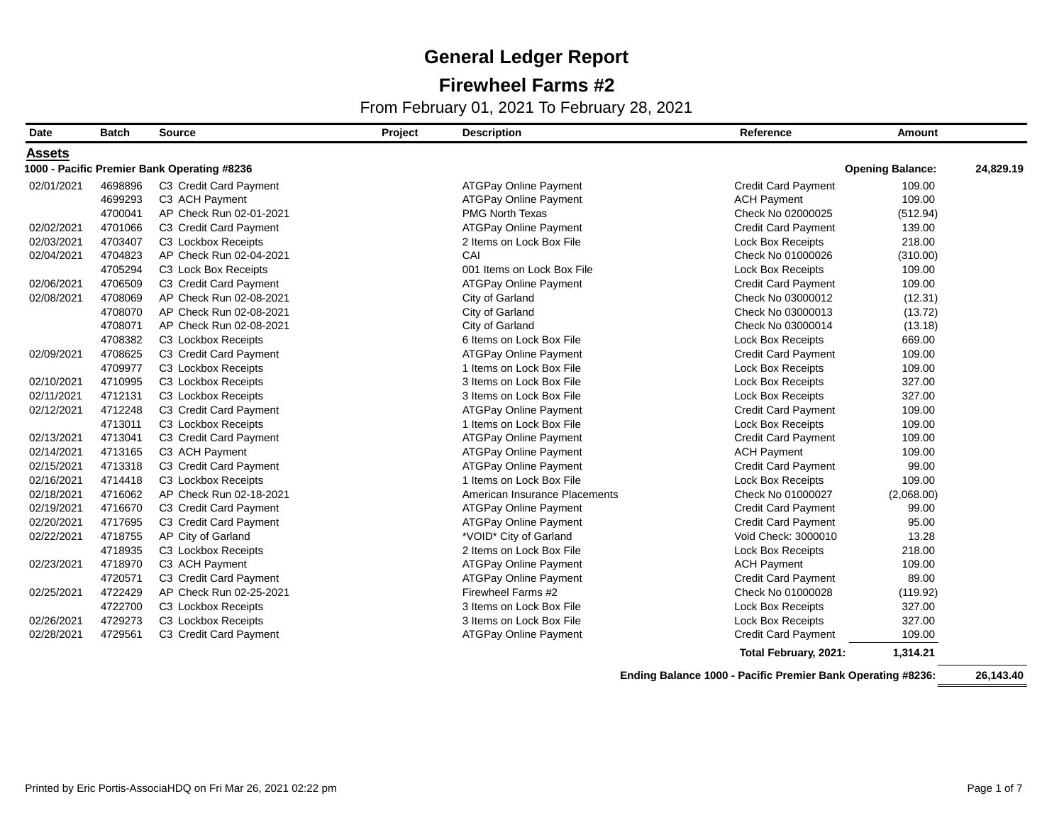### **Firewheel Farms #2**

From February 01, 2021 To February 28, 2021

| <b>Date</b>   | <b>Batch</b> | <b>Source</b>                               | Project | <b>Description</b>            | Reference                  | <b>Amount</b>           |           |
|---------------|--------------|---------------------------------------------|---------|-------------------------------|----------------------------|-------------------------|-----------|
| <b>Assets</b> |              |                                             |         |                               |                            |                         |           |
|               |              | 1000 - Pacific Premier Bank Operating #8236 |         |                               |                            | <b>Opening Balance:</b> | 24,829.19 |
| 02/01/2021    | 4698896      | C3 Credit Card Payment                      |         | <b>ATGPay Online Payment</b>  | <b>Credit Card Payment</b> | 109.00                  |           |
|               | 4699293      | C3 ACH Payment                              |         | <b>ATGPay Online Payment</b>  | <b>ACH Payment</b>         | 109.00                  |           |
|               | 4700041      | AP Check Run 02-01-2021                     |         | <b>PMG North Texas</b>        | Check No 02000025          | (512.94)                |           |
| 02/02/2021    | 4701066      | C3 Credit Card Payment                      |         | <b>ATGPay Online Payment</b>  | <b>Credit Card Payment</b> | 139.00                  |           |
| 02/03/2021    | 4703407      | C3 Lockbox Receipts                         |         | 2 Items on Lock Box File      | <b>Lock Box Receipts</b>   | 218.00                  |           |
| 02/04/2021    | 4704823      | AP Check Run 02-04-2021                     |         | CAI                           | Check No 01000026          | (310.00)                |           |
|               | 4705294      | C3 Lock Box Receipts                        |         | 001 Items on Lock Box File    | <b>Lock Box Receipts</b>   | 109.00                  |           |
| 02/06/2021    | 4706509      | C3 Credit Card Payment                      |         | <b>ATGPay Online Payment</b>  | <b>Credit Card Payment</b> | 109.00                  |           |
| 02/08/2021    | 4708069      | AP Check Run 02-08-2021                     |         | City of Garland               | Check No 03000012          | (12.31)                 |           |
|               | 4708070      | AP Check Run 02-08-2021                     |         | City of Garland               | Check No 03000013          | (13.72)                 |           |
|               | 4708071      | AP Check Run 02-08-2021                     |         | City of Garland               | Check No 03000014          | (13.18)                 |           |
|               | 4708382      | C3 Lockbox Receipts                         |         | 6 Items on Lock Box File      | <b>Lock Box Receipts</b>   | 669.00                  |           |
| 02/09/2021    | 4708625      | C3 Credit Card Payment                      |         | <b>ATGPay Online Payment</b>  | <b>Credit Card Payment</b> | 109.00                  |           |
|               | 4709977      | C3 Lockbox Receipts                         |         | 1 Items on Lock Box File      | <b>Lock Box Receipts</b>   | 109.00                  |           |
| 02/10/2021    | 4710995      | C3 Lockbox Receipts                         |         | 3 Items on Lock Box File      | <b>Lock Box Receipts</b>   | 327.00                  |           |
| 02/11/2021    | 4712131      | C3 Lockbox Receipts                         |         | 3 Items on Lock Box File      | <b>Lock Box Receipts</b>   | 327.00                  |           |
| 02/12/2021    | 4712248      | C3 Credit Card Payment                      |         | <b>ATGPay Online Payment</b>  | <b>Credit Card Payment</b> | 109.00                  |           |
|               | 4713011      | C3 Lockbox Receipts                         |         | 1 Items on Lock Box File      | <b>Lock Box Receipts</b>   | 109.00                  |           |
| 02/13/2021    | 4713041      | C3 Credit Card Payment                      |         | <b>ATGPay Online Payment</b>  | <b>Credit Card Payment</b> | 109.00                  |           |
| 02/14/2021    | 4713165      | C3 ACH Payment                              |         | <b>ATGPay Online Payment</b>  | <b>ACH Payment</b>         | 109.00                  |           |
| 02/15/2021    | 4713318      | C3 Credit Card Payment                      |         | <b>ATGPay Online Payment</b>  | Credit Card Payment        | 99.00                   |           |
| 02/16/2021    | 4714418      | C3 Lockbox Receipts                         |         | 1 Items on Lock Box File      | <b>Lock Box Receipts</b>   | 109.00                  |           |
| 02/18/2021    | 4716062      | AP Check Run 02-18-2021                     |         | American Insurance Placements | Check No 01000027          | (2,068.00)              |           |
| 02/19/2021    | 4716670      | C3 Credit Card Payment                      |         | <b>ATGPay Online Payment</b>  | <b>Credit Card Payment</b> | 99.00                   |           |
| 02/20/2021    | 4717695      | C3 Credit Card Payment                      |         | <b>ATGPay Online Payment</b>  | <b>Credit Card Payment</b> | 95.00                   |           |
| 02/22/2021    | 4718755      | AP City of Garland                          |         | *VOID* City of Garland        | Void Check: 3000010        | 13.28                   |           |
|               | 4718935      | C3 Lockbox Receipts                         |         | 2 Items on Lock Box File      | <b>Lock Box Receipts</b>   | 218.00                  |           |
| 02/23/2021    | 4718970      | C3 ACH Payment                              |         | <b>ATGPay Online Payment</b>  | <b>ACH Payment</b>         | 109.00                  |           |
|               | 4720571      | C3 Credit Card Payment                      |         | <b>ATGPay Online Payment</b>  | <b>Credit Card Payment</b> | 89.00                   |           |
| 02/25/2021    | 4722429      | AP Check Run 02-25-2021                     |         | Firewheel Farms #2            | Check No 01000028          | (119.92)                |           |
|               | 4722700      | C3 Lockbox Receipts                         |         | 3 Items on Lock Box File      | <b>Lock Box Receipts</b>   | 327.00                  |           |
| 02/26/2021    | 4729273      | C3 Lockbox Receipts                         |         | 3 Items on Lock Box File      | <b>Lock Box Receipts</b>   | 327.00                  |           |
| 02/28/2021    | 4729561      | C3 Credit Card Payment                      |         | <b>ATGPay Online Payment</b>  | Credit Card Payment        | 109.00                  |           |
|               |              |                                             |         |                               | Total February, 2021:      | 1,314.21                |           |

**Ending Balance 1000 - Pacific Premier Bank Operating #8236: 26,143.40**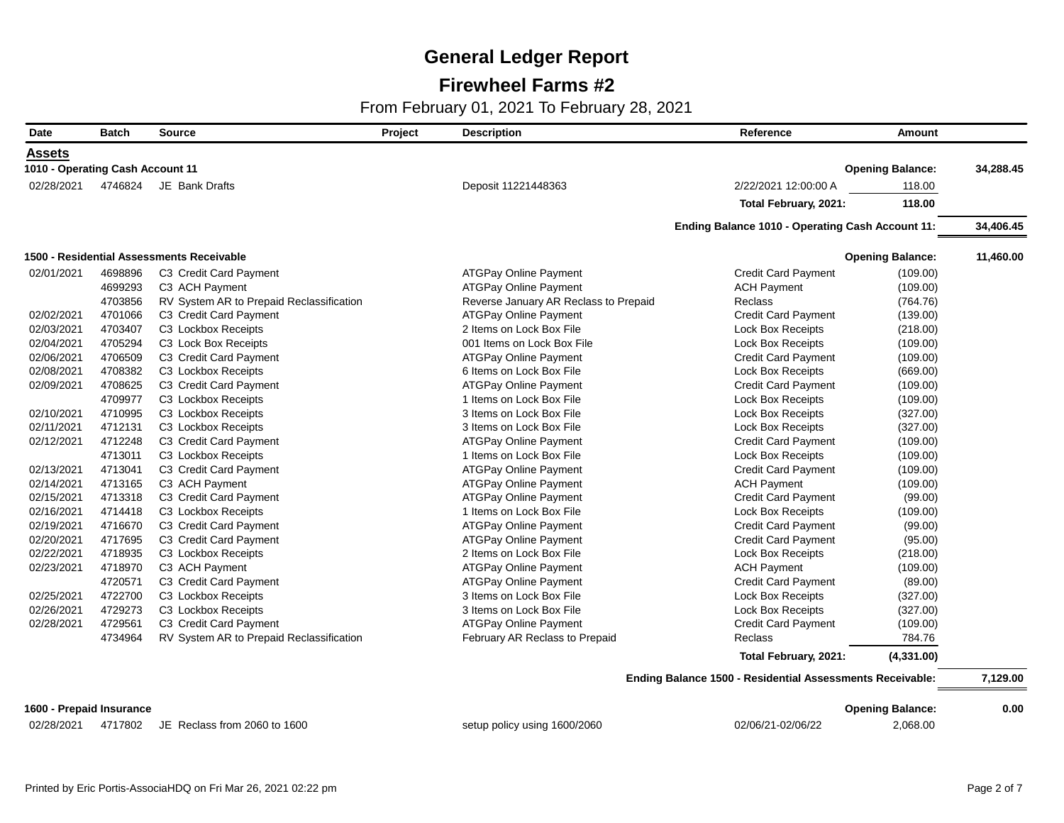### **Firewheel Farms #2**

| Date                             | <b>Batch</b> | <b>Source</b>                             | Project | <b>Description</b>                    | Reference                                                 | Amount                  |           |
|----------------------------------|--------------|-------------------------------------------|---------|---------------------------------------|-----------------------------------------------------------|-------------------------|-----------|
| <b>Assets</b>                    |              |                                           |         |                                       |                                                           |                         |           |
| 1010 - Operating Cash Account 11 |              |                                           |         |                                       |                                                           | <b>Opening Balance:</b> | 34.288.45 |
| 02/28/2021                       | 4746824      | JE Bank Drafts                            |         | Deposit 11221448363                   | 2/22/2021 12:00:00 A                                      | 118.00                  |           |
|                                  |              |                                           |         |                                       | Total February, 2021:                                     | 118.00                  |           |
|                                  |              |                                           |         |                                       | Ending Balance 1010 - Operating Cash Account 11:          |                         | 34,406.45 |
|                                  |              | 1500 - Residential Assessments Receivable |         |                                       |                                                           | <b>Opening Balance:</b> | 11,460.00 |
| 02/01/2021                       | 4698896      | C3 Credit Card Payment                    |         | <b>ATGPay Online Payment</b>          | <b>Credit Card Payment</b>                                | (109.00)                |           |
|                                  | 4699293      | C3 ACH Payment                            |         | <b>ATGPay Online Payment</b>          | <b>ACH Payment</b>                                        | (109.00)                |           |
|                                  | 4703856      | RV System AR to Prepaid Reclassification  |         | Reverse January AR Reclass to Prepaid | <b>Reclass</b>                                            | (764.76)                |           |
| 02/02/2021                       | 4701066      | C3 Credit Card Payment                    |         | <b>ATGPay Online Payment</b>          | <b>Credit Card Payment</b>                                | (139.00)                |           |
| 02/03/2021                       | 4703407      | C3 Lockbox Receipts                       |         | 2 Items on Lock Box File              | <b>Lock Box Receipts</b>                                  | (218.00)                |           |
| 02/04/2021                       | 4705294      | C3 Lock Box Receipts                      |         | 001 Items on Lock Box File            | <b>Lock Box Receipts</b>                                  | (109.00)                |           |
| 02/06/2021                       | 4706509      | C3 Credit Card Payment                    |         | <b>ATGPay Online Payment</b>          | <b>Credit Card Payment</b>                                | (109.00)                |           |
| 02/08/2021                       | 4708382      | C3 Lockbox Receipts                       |         | 6 Items on Lock Box File              | <b>Lock Box Receipts</b>                                  | (669.00)                |           |
| 02/09/2021                       | 4708625      | C3 Credit Card Payment                    |         | <b>ATGPay Online Payment</b>          | <b>Credit Card Payment</b>                                | (109.00)                |           |
|                                  | 4709977      | C3 Lockbox Receipts                       |         | 1 Items on Lock Box File              | <b>Lock Box Receipts</b>                                  | (109.00)                |           |
| 02/10/2021                       | 4710995      | C3 Lockbox Receipts                       |         | 3 Items on Lock Box File              | <b>Lock Box Receipts</b>                                  | (327.00)                |           |
| 02/11/2021                       | 4712131      | C3 Lockbox Receipts                       |         | 3 Items on Lock Box File              | <b>Lock Box Receipts</b>                                  | (327.00)                |           |
| 02/12/2021                       | 4712248      | C3 Credit Card Payment                    |         | <b>ATGPay Online Payment</b>          | <b>Credit Card Payment</b>                                | (109.00)                |           |
|                                  | 4713011      | C3 Lockbox Receipts                       |         | 1 Items on Lock Box File              | <b>Lock Box Receipts</b>                                  | (109.00)                |           |
| 02/13/2021                       | 4713041      | C3 Credit Card Payment                    |         | <b>ATGPay Online Payment</b>          | <b>Credit Card Payment</b>                                | (109.00)                |           |
| 02/14/2021                       | 4713165      | C3 ACH Payment                            |         | <b>ATGPay Online Payment</b>          | <b>ACH Payment</b>                                        | (109.00)                |           |
| 02/15/2021                       | 4713318      | C3 Credit Card Payment                    |         | <b>ATGPay Online Payment</b>          | <b>Credit Card Payment</b>                                | (99.00)                 |           |
| 02/16/2021                       | 4714418      | C3 Lockbox Receipts                       |         | 1 Items on Lock Box File              | <b>Lock Box Receipts</b>                                  | (109.00)                |           |
| 02/19/2021                       | 4716670      | C3 Credit Card Payment                    |         | <b>ATGPay Online Payment</b>          | <b>Credit Card Payment</b>                                | (99.00)                 |           |
| 02/20/2021                       | 4717695      | C3 Credit Card Payment                    |         | <b>ATGPay Online Payment</b>          | <b>Credit Card Payment</b>                                | (95.00)                 |           |
| 02/22/2021                       | 4718935      | C3 Lockbox Receipts                       |         | 2 Items on Lock Box File              | <b>Lock Box Receipts</b>                                  | (218.00)                |           |
| 02/23/2021                       | 4718970      | C3 ACH Payment                            |         | <b>ATGPay Online Payment</b>          | <b>ACH Payment</b>                                        | (109.00)                |           |
|                                  | 4720571      | C3 Credit Card Payment                    |         | <b>ATGPay Online Payment</b>          | <b>Credit Card Payment</b>                                | (89.00)                 |           |
| 02/25/2021                       | 4722700      | C3 Lockbox Receipts                       |         | 3 Items on Lock Box File              | <b>Lock Box Receipts</b>                                  | (327.00)                |           |
| 02/26/2021                       | 4729273      | C3 Lockbox Receipts                       |         | 3 Items on Lock Box File              | <b>Lock Box Receipts</b>                                  | (327.00)                |           |
| 02/28/2021                       | 4729561      | C3 Credit Card Payment                    |         | <b>ATGPay Online Payment</b>          | <b>Credit Card Payment</b>                                | (109.00)                |           |
|                                  | 4734964      | RV System AR to Prepaid Reclassification  |         | February AR Reclass to Prepaid        | <b>Reclass</b>                                            | 784.76                  |           |
|                                  |              |                                           |         |                                       | Total February, 2021:                                     | (4,331.00)              |           |
|                                  |              |                                           |         |                                       | Ending Balance 1500 - Residential Assessments Receivable: |                         | 7,129.00  |
| 1600 - Prepaid Insurance         |              |                                           |         |                                       |                                                           | <b>Opening Balance:</b> | 0.00      |
| 02/28/2021                       | 4717802      | JE Reclass from 2060 to 1600              |         | setup policy using 1600/2060          | 02/06/21-02/06/22                                         | 2,068.00                |           |
|                                  |              |                                           |         |                                       |                                                           |                         |           |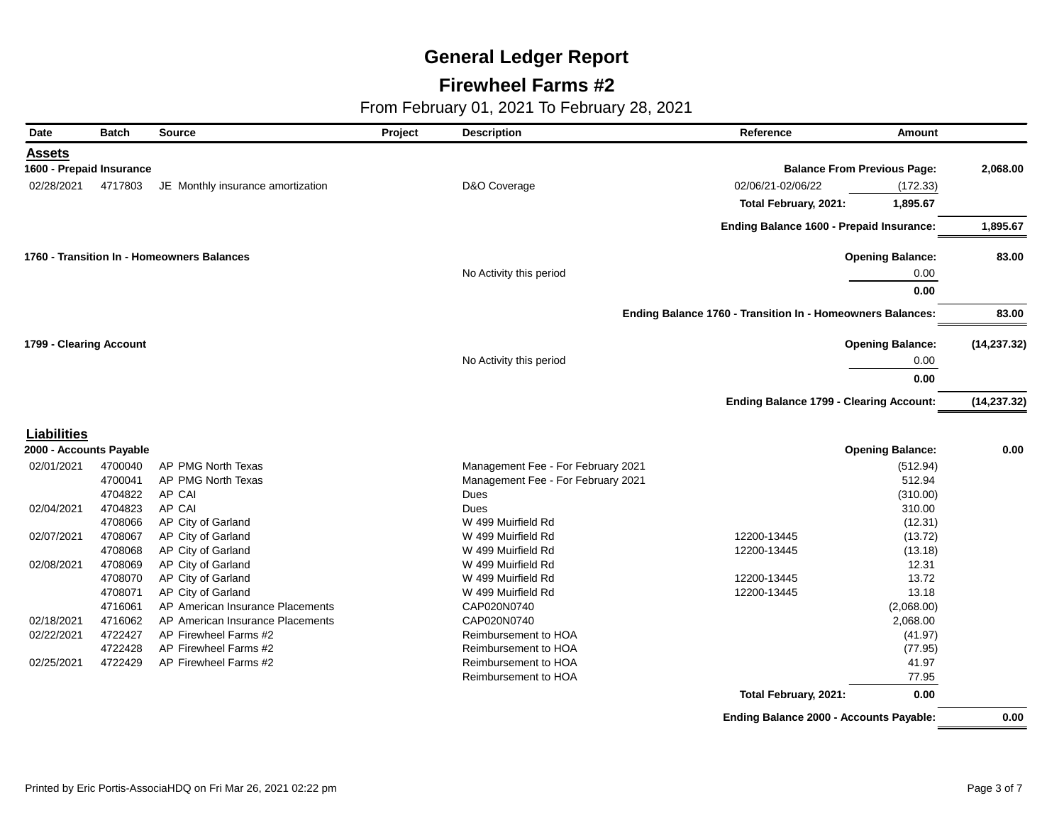### **Firewheel Farms #2**

| <b>Date</b>              | <b>Batch</b> | <b>Source</b>                              | Project | <b>Description</b>                 | Reference                                                  | <b>Amount</b>                      |              |
|--------------------------|--------------|--------------------------------------------|---------|------------------------------------|------------------------------------------------------------|------------------------------------|--------------|
| <b>Assets</b>            |              |                                            |         |                                    |                                                            |                                    |              |
| 1600 - Prepaid Insurance |              |                                            |         |                                    |                                                            | <b>Balance From Previous Page:</b> | 2,068.00     |
| 02/28/2021               | 4717803      | JE Monthly insurance amortization          |         | D&O Coverage                       | 02/06/21-02/06/22                                          | (172.33)                           |              |
|                          |              |                                            |         |                                    | Total February, 2021:                                      | 1,895.67                           |              |
|                          |              |                                            |         |                                    | Ending Balance 1600 - Prepaid Insurance:                   |                                    | 1,895.67     |
|                          |              | 1760 - Transition In - Homeowners Balances |         |                                    |                                                            | <b>Opening Balance:</b>            | 83.00        |
|                          |              |                                            |         | No Activity this period            |                                                            | 0.00                               |              |
|                          |              |                                            |         |                                    |                                                            | 0.00                               |              |
|                          |              |                                            |         |                                    | Ending Balance 1760 - Transition In - Homeowners Balances: |                                    | 83.00        |
| 1799 - Clearing Account  |              |                                            |         |                                    |                                                            | <b>Opening Balance:</b>            | (14, 237.32) |
|                          |              |                                            |         | No Activity this period            |                                                            | 0.00                               |              |
|                          |              |                                            |         |                                    |                                                            | 0.00                               |              |
|                          |              |                                            |         |                                    | <b>Ending Balance 1799 - Clearing Account:</b>             |                                    | (14, 237.32) |
| <b>Liabilities</b>       |              |                                            |         |                                    |                                                            |                                    |              |
| 2000 - Accounts Payable  |              |                                            |         |                                    |                                                            | <b>Opening Balance:</b>            | 0.00         |
| 02/01/2021               | 4700040      | AP PMG North Texas                         |         | Management Fee - For February 2021 |                                                            | (512.94)                           |              |
|                          | 4700041      | AP PMG North Texas                         |         | Management Fee - For February 2021 |                                                            | 512.94                             |              |
|                          | 4704822      | AP CAI                                     |         | Dues                               |                                                            | (310.00)                           |              |
| 02/04/2021               | 4704823      | AP CAI                                     |         | Dues                               |                                                            | 310.00                             |              |
|                          | 4708066      | AP City of Garland                         |         | W 499 Muirfield Rd                 |                                                            | (12.31)                            |              |
| 02/07/2021               | 4708067      | AP City of Garland                         |         | W 499 Muirfield Rd                 | 12200-13445                                                | (13.72)                            |              |
|                          | 4708068      | AP City of Garland                         |         | W 499 Muirfield Rd                 | 12200-13445                                                | (13.18)                            |              |
| 02/08/2021               | 4708069      | AP City of Garland                         |         | W 499 Muirfield Rd                 |                                                            | 12.31                              |              |
|                          | 4708070      | AP City of Garland                         |         | W 499 Muirfield Rd                 | 12200-13445                                                | 13.72                              |              |
|                          | 4708071      | AP City of Garland                         |         | W 499 Muirfield Rd                 | 12200-13445                                                | 13.18                              |              |
|                          | 4716061      | AP American Insurance Placements           |         | CAP020N0740                        |                                                            | (2,068.00)                         |              |
| 02/18/2021               | 4716062      | AP American Insurance Placements           |         | CAP020N0740                        |                                                            | 2,068.00                           |              |
| 02/22/2021               | 4722427      | AP Firewheel Farms #2                      |         | Reimbursement to HOA               |                                                            | (41.97)                            |              |
|                          | 4722428      | AP Firewheel Farms #2                      |         | Reimbursement to HOA               |                                                            | (77.95)                            |              |
| 02/25/2021               | 4722429      | AP Firewheel Farms #2                      |         | Reimbursement to HOA               |                                                            | 41.97                              |              |
|                          |              |                                            |         | Reimbursement to HOA               |                                                            | 77.95                              |              |
|                          |              |                                            |         |                                    | Total February, 2021:                                      | 0.00                               |              |
|                          |              |                                            |         |                                    | <b>Ending Balance 2000 - Accounts Payable:</b>             |                                    | 0.00         |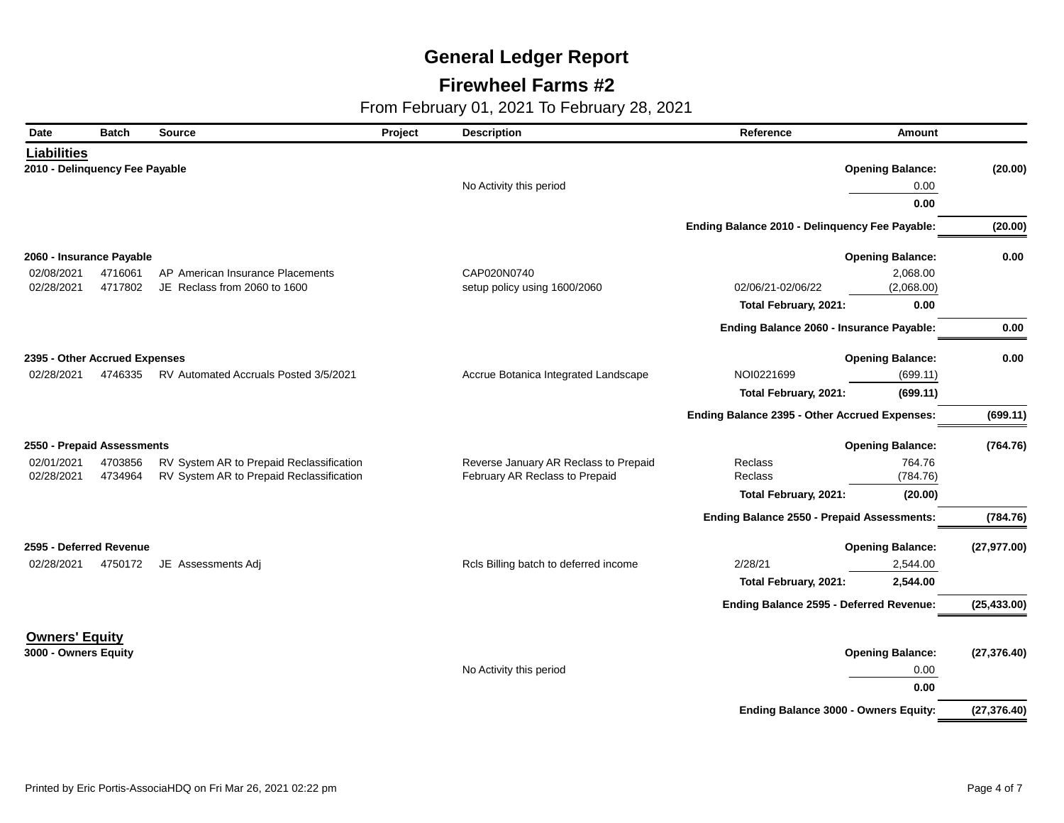### **Firewheel Farms #2**

| Date                           | <b>Batch</b> | <b>Source</b>                            | Project | <b>Description</b>                    | Reference                                      | Amount                  |              |
|--------------------------------|--------------|------------------------------------------|---------|---------------------------------------|------------------------------------------------|-------------------------|--------------|
| <b>Liabilities</b>             |              |                                          |         |                                       |                                                |                         |              |
| 2010 - Delinquency Fee Payable |              |                                          |         |                                       |                                                | <b>Opening Balance:</b> | (20.00)      |
|                                |              |                                          |         | No Activity this period               |                                                | 0.00                    |              |
|                                |              |                                          |         |                                       |                                                | 0.00                    |              |
|                                |              |                                          |         |                                       | Ending Balance 2010 - Delinquency Fee Payable: |                         | (20.00)      |
| 2060 - Insurance Payable       |              |                                          |         |                                       |                                                | <b>Opening Balance:</b> | 0.00         |
| 02/08/2021                     | 4716061      | AP American Insurance Placements         |         | CAP020N0740                           |                                                | 2,068.00                |              |
| 02/28/2021                     | 4717802      | JE Reclass from 2060 to 1600             |         | setup policy using 1600/2060          | 02/06/21-02/06/22                              | (2,068.00)              |              |
|                                |              |                                          |         |                                       | Total February, 2021:                          | 0.00                    |              |
|                                |              |                                          |         |                                       | Ending Balance 2060 - Insurance Payable:       |                         | 0.00         |
| 2395 - Other Accrued Expenses  |              |                                          |         |                                       |                                                | <b>Opening Balance:</b> | 0.00         |
| 02/28/2021                     | 4746335      | RV Automated Accruals Posted 3/5/2021    |         | Accrue Botanica Integrated Landscape  | NOI0221699                                     | (699.11)                |              |
|                                |              |                                          |         |                                       | Total February, 2021:                          | (699.11)                |              |
|                                |              |                                          |         |                                       | Ending Balance 2395 - Other Accrued Expenses:  |                         | (699.11)     |
| 2550 - Prepaid Assessments     |              |                                          |         |                                       |                                                | <b>Opening Balance:</b> | (764.76)     |
| 02/01/2021                     | 4703856      | RV System AR to Prepaid Reclassification |         | Reverse January AR Reclass to Prepaid | Reclass                                        | 764.76                  |              |
| 02/28/2021                     | 4734964      | RV System AR to Prepaid Reclassification |         | February AR Reclass to Prepaid        | Reclass                                        | (784.76)                |              |
|                                |              |                                          |         |                                       | Total February, 2021:                          | (20.00)                 |              |
|                                |              |                                          |         |                                       | Ending Balance 2550 - Prepaid Assessments:     |                         | (784.76)     |
| 2595 - Deferred Revenue        |              |                                          |         |                                       |                                                | <b>Opening Balance:</b> | (27, 977.00) |
| 02/28/2021                     | 4750172      | JE Assessments Adj                       |         | Rcls Billing batch to deferred income | 2/28/21                                        | 2,544.00                |              |
|                                |              |                                          |         |                                       | Total February, 2021:                          | 2,544.00                |              |
|                                |              |                                          |         |                                       | Ending Balance 2595 - Deferred Revenue:        |                         | (25, 433.00) |
| <b>Owners' Equity</b>          |              |                                          |         |                                       |                                                |                         |              |
| 3000 - Owners Equity           |              |                                          |         |                                       |                                                | <b>Opening Balance:</b> | (27, 376.40) |
|                                |              |                                          |         | No Activity this period               |                                                | 0.00                    |              |
|                                |              |                                          |         |                                       |                                                | 0.00                    |              |
|                                |              |                                          |         |                                       | <b>Ending Balance 3000 - Owners Equity:</b>    |                         | (27, 376.40) |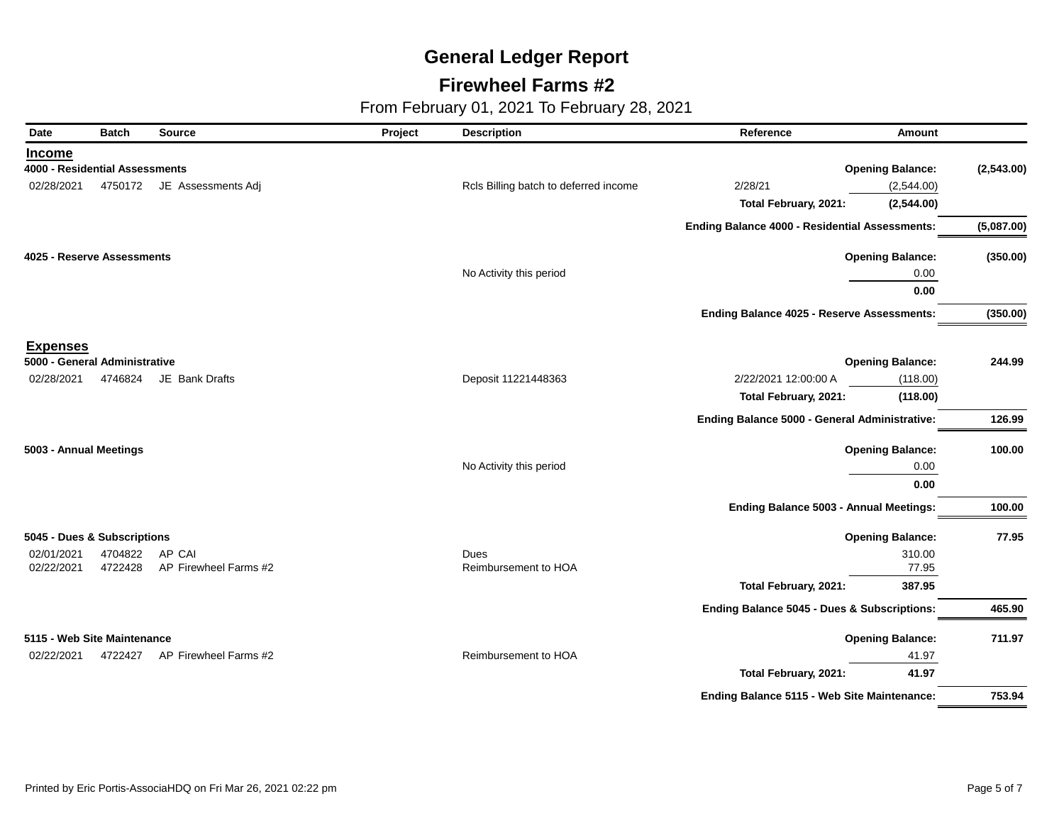### **Firewheel Farms #2**

| Date                           | <b>Batch</b> | <b>Source</b>              | Project | <b>Description</b>                    | Reference<br><b>Amount</b>                     |            |
|--------------------------------|--------------|----------------------------|---------|---------------------------------------|------------------------------------------------|------------|
| <b>Income</b>                  |              |                            |         |                                       |                                                |            |
| 4000 - Residential Assessments |              |                            |         |                                       | <b>Opening Balance:</b>                        | (2,543.00) |
| 02/28/2021                     |              | 4750172 JE Assessments Adj |         | Rcls Billing batch to deferred income | 2/28/21<br>(2,544.00)                          |            |
|                                |              |                            |         |                                       | Total February, 2021:<br>(2,544.00)            |            |
|                                |              |                            |         |                                       | Ending Balance 4000 - Residential Assessments: | (5,087.00) |
| 4025 - Reserve Assessments     |              |                            |         |                                       | <b>Opening Balance:</b>                        | (350.00)   |
|                                |              |                            |         | No Activity this period               | 0.00                                           |            |
|                                |              |                            |         |                                       | 0.00                                           |            |
|                                |              |                            |         |                                       | Ending Balance 4025 - Reserve Assessments:     | (350.00)   |
| <b>Expenses</b>                |              |                            |         |                                       |                                                |            |
| 5000 - General Administrative  |              |                            |         |                                       | <b>Opening Balance:</b>                        | 244.99     |
| 02/28/2021                     | 4746824      | JE Bank Drafts             |         | Deposit 11221448363                   | 2/22/2021 12:00:00 A<br>(118.00)               |            |
|                                |              |                            |         |                                       | Total February, 2021:<br>(118.00)              |            |
|                                |              |                            |         |                                       | Ending Balance 5000 - General Administrative:  | 126.99     |
| 5003 - Annual Meetings         |              |                            |         |                                       | <b>Opening Balance:</b>                        | 100.00     |
|                                |              |                            |         | No Activity this period               | 0.00                                           |            |
|                                |              |                            |         |                                       | 0.00                                           |            |
|                                |              |                            |         |                                       | <b>Ending Balance 5003 - Annual Meetings:</b>  | 100.00     |
| 5045 - Dues & Subscriptions    |              |                            |         |                                       | <b>Opening Balance:</b>                        | 77.95      |
| 02/01/2021                     | 4704822      | AP CAI                     |         | Dues                                  | 310.00                                         |            |
| 02/22/2021                     | 4722428      | AP Firewheel Farms #2      |         | Reimbursement to HOA                  | 77.95                                          |            |
|                                |              |                            |         |                                       | Total February, 2021:<br>387.95                |            |
|                                |              |                            |         |                                       | Ending Balance 5045 - Dues & Subscriptions:    | 465.90     |
| 5115 - Web Site Maintenance    |              |                            |         |                                       | <b>Opening Balance:</b>                        | 711.97     |
| 02/22/2021                     | 4722427      | AP Firewheel Farms #2      |         | Reimbursement to HOA                  | 41.97                                          |            |
|                                |              |                            |         |                                       | 41.97<br>Total February, 2021:                 |            |
|                                |              |                            |         |                                       | Ending Balance 5115 - Web Site Maintenance:    | 753.94     |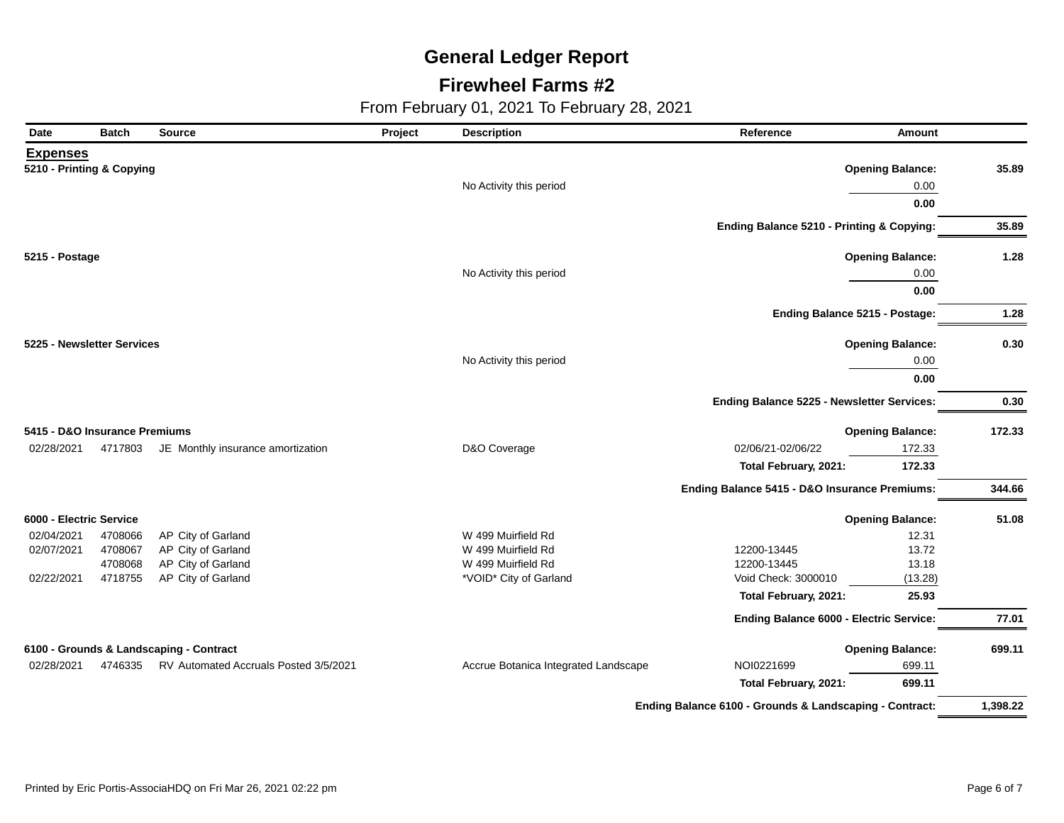### **Firewheel Farms #2**

| Date                          | <b>Batch</b> | Source                                  | Project | <b>Description</b>                   | Reference                                               | <b>Amount</b>           |          |
|-------------------------------|--------------|-----------------------------------------|---------|--------------------------------------|---------------------------------------------------------|-------------------------|----------|
| <b>Expenses</b>               |              |                                         |         |                                      |                                                         |                         |          |
| 5210 - Printing & Copying     |              |                                         |         |                                      |                                                         | <b>Opening Balance:</b> | 35.89    |
|                               |              |                                         |         | No Activity this period              |                                                         | 0.00                    |          |
|                               |              |                                         |         |                                      |                                                         | 0.00                    |          |
|                               |              |                                         |         |                                      | Ending Balance 5210 - Printing & Copying:               |                         | 35.89    |
| 5215 - Postage                |              |                                         |         |                                      |                                                         | <b>Opening Balance:</b> | 1.28     |
|                               |              |                                         |         | No Activity this period              |                                                         | 0.00                    |          |
|                               |              |                                         |         |                                      |                                                         | 0.00                    |          |
|                               |              |                                         |         |                                      | Ending Balance 5215 - Postage:                          |                         | 1.28     |
| 5225 - Newsletter Services    |              |                                         |         |                                      |                                                         | <b>Opening Balance:</b> | 0.30     |
|                               |              |                                         |         | No Activity this period              |                                                         | 0.00                    |          |
|                               |              |                                         |         |                                      |                                                         | 0.00                    |          |
|                               |              |                                         |         |                                      | Ending Balance 5225 - Newsletter Services:              |                         | 0.30     |
| 5415 - D&O Insurance Premiums |              |                                         |         |                                      |                                                         | <b>Opening Balance:</b> | 172.33   |
| 02/28/2021                    | 4717803      | JE Monthly insurance amortization       |         | D&O Coverage                         | 02/06/21-02/06/22                                       | 172.33                  |          |
|                               |              |                                         |         |                                      | Total February, 2021:                                   | 172.33                  |          |
|                               |              |                                         |         |                                      | Ending Balance 5415 - D&O Insurance Premiums:           |                         | 344.66   |
| 6000 - Electric Service       |              |                                         |         |                                      |                                                         | <b>Opening Balance:</b> | 51.08    |
| 02/04/2021                    | 4708066      | AP City of Garland                      |         | W 499 Muirfield Rd                   |                                                         | 12.31                   |          |
| 02/07/2021                    | 4708067      | AP City of Garland                      |         | W 499 Muirfield Rd                   | 12200-13445                                             | 13.72                   |          |
|                               | 4708068      | AP City of Garland                      |         | W 499 Muirfield Rd                   | 12200-13445                                             | 13.18                   |          |
| 02/22/2021                    | 4718755      | AP City of Garland                      |         | *VOID* City of Garland               | Void Check: 3000010                                     | (13.28)                 |          |
|                               |              |                                         |         |                                      | Total February, 2021:                                   | 25.93                   |          |
|                               |              |                                         |         |                                      | Ending Balance 6000 - Electric Service:                 |                         | 77.01    |
|                               |              | 6100 - Grounds & Landscaping - Contract |         |                                      |                                                         | <b>Opening Balance:</b> | 699.11   |
| 02/28/2021                    | 4746335      | RV Automated Accruals Posted 3/5/2021   |         | Accrue Botanica Integrated Landscape | NOI0221699                                              | 699.11                  |          |
|                               |              |                                         |         |                                      | Total February, 2021:                                   | 699.11                  |          |
|                               |              |                                         |         |                                      | Ending Balance 6100 - Grounds & Landscaping - Contract: |                         | 1,398.22 |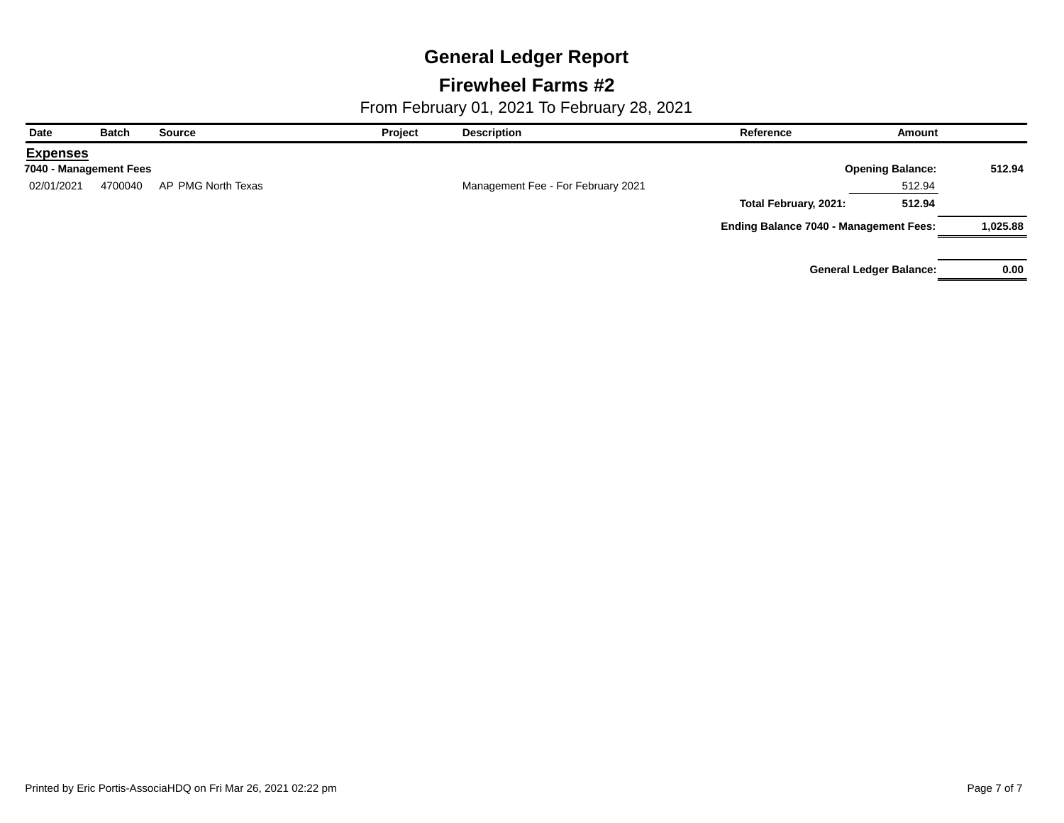### **Firewheel Farms #2**

| Date                   | <b>Batch</b> | <b>Source</b>      | Project | <b>Description</b>                 | Reference                                     | Amount                         |          |
|------------------------|--------------|--------------------|---------|------------------------------------|-----------------------------------------------|--------------------------------|----------|
| <b>Expenses</b>        |              |                    |         |                                    |                                               |                                |          |
| 7040 - Management Fees |              |                    |         |                                    |                                               | <b>Opening Balance:</b>        | 512.94   |
| 02/01/2021             | 4700040      | AP PMG North Texas |         | Management Fee - For February 2021 |                                               | 512.94                         |          |
|                        |              |                    |         |                                    | Total February, 2021:                         | 512.94                         |          |
|                        |              |                    |         |                                    | <b>Ending Balance 7040 - Management Fees:</b> |                                | 1,025.88 |
|                        |              |                    |         |                                    |                                               | <b>General Ledger Balance:</b> | 0.00     |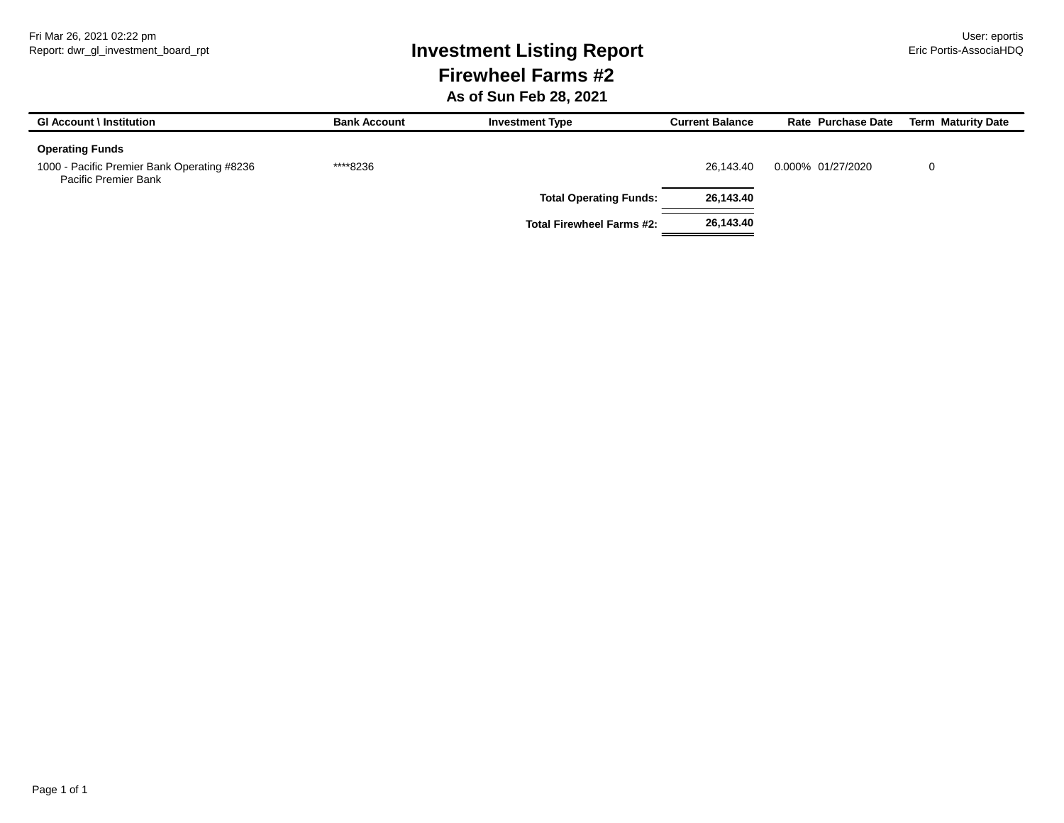# Report: dwr\_gl\_investment\_board\_rpt **Investment Listing Report** Eric Portis-AssociaHDQ **Firewheel Farms #2**

**As of Sun Feb 28, 2021**

| <b>GI Account \ Institution</b>                                     | <b>Bank Account</b> | <b>Investment Type</b>           | <b>Current Balance</b> | Rate Purchase Date | <b>Term Maturity Date</b> |
|---------------------------------------------------------------------|---------------------|----------------------------------|------------------------|--------------------|---------------------------|
| <b>Operating Funds</b>                                              |                     |                                  |                        |                    |                           |
| 1000 - Pacific Premier Bank Operating #8236<br>Pacific Premier Bank | ****8236            |                                  | 26.143.40              | 0.000% 01/27/2020  |                           |
|                                                                     |                     | <b>Total Operating Funds:</b>    | 26,143.40              |                    |                           |
|                                                                     |                     | <b>Total Firewheel Farms #2:</b> | 26,143.40              |                    |                           |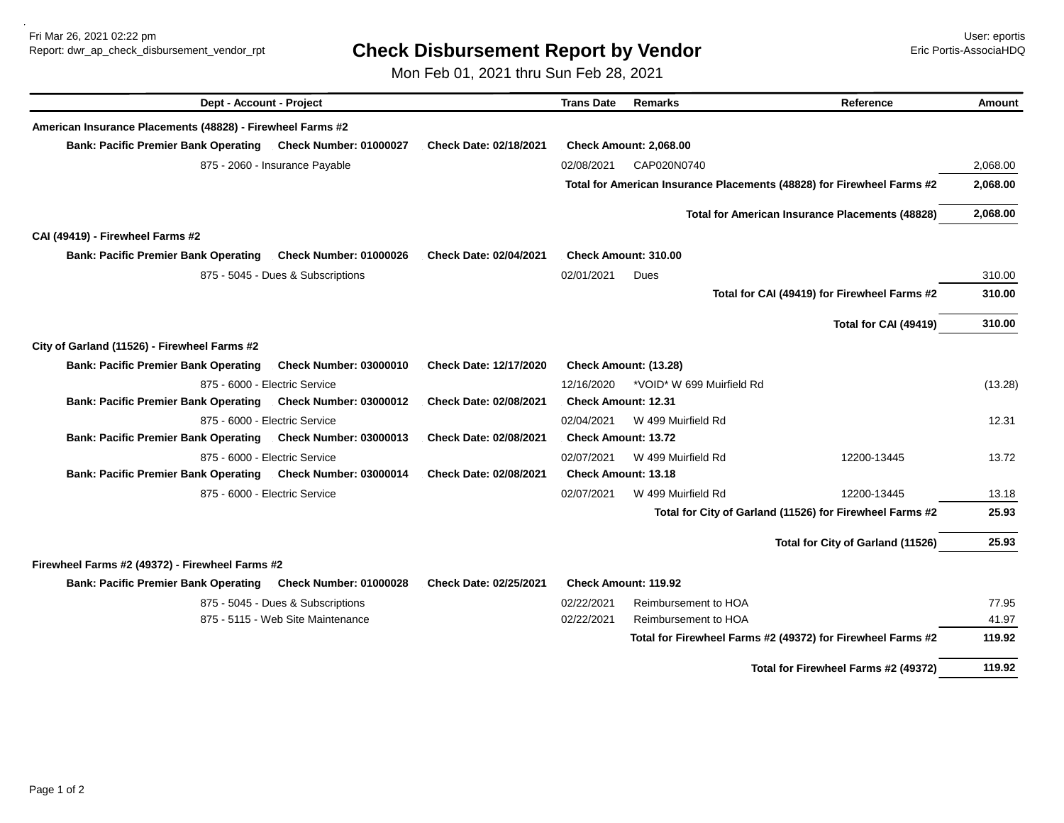Fri Mar 26, 2021 02:22 pm User: eportis

## Report: dwr\_ap\_check\_disbursement\_vendor\_rpt **Check Disbursement Report by Vendor** Eric Portis-AssociaHDQ

Mon Feb 01, 2021 thru Sun Feb 28, 2021

| Dept - Account - Project                                    |                                   |                               | <b>Trans Date</b>          | <b>Remarks</b>              | Reference                                                              | <b>Amount</b> |
|-------------------------------------------------------------|-----------------------------------|-------------------------------|----------------------------|-----------------------------|------------------------------------------------------------------------|---------------|
| American Insurance Placements (48828) - Firewheel Farms #2  |                                   |                               |                            |                             |                                                                        |               |
| Bank: Pacific Premier Bank Operating Check Number: 01000027 |                                   | Check Date: 02/18/2021        |                            | Check Amount: 2,068.00      |                                                                        |               |
|                                                             | 875 - 2060 - Insurance Payable    |                               | 02/08/2021                 | CAP020N0740                 |                                                                        | 2,068.00      |
|                                                             |                                   |                               |                            |                             | Total for American Insurance Placements (48828) for Firewheel Farms #2 | 2,068.00      |
|                                                             |                                   |                               |                            |                             | <b>Total for American Insurance Placements (48828)</b>                 | 2,068.00      |
| CAI (49419) - Firewheel Farms #2                            |                                   |                               |                            |                             |                                                                        |               |
| <b>Bank: Pacific Premier Bank Operating</b>                 | <b>Check Number: 01000026</b>     | Check Date: 02/04/2021        |                            | <b>Check Amount: 310.00</b> |                                                                        |               |
|                                                             | 875 - 5045 - Dues & Subscriptions |                               | 02/01/2021                 | Dues                        |                                                                        | 310.00        |
|                                                             |                                   |                               |                            |                             | Total for CAI (49419) for Firewheel Farms #2                           | 310.00        |
|                                                             |                                   |                               |                            |                             | Total for CAI (49419)                                                  | 310.00        |
| City of Garland (11526) - Firewheel Farms #2                |                                   |                               |                            |                             |                                                                        |               |
| <b>Bank: Pacific Premier Bank Operating</b>                 | <b>Check Number: 03000010</b>     | <b>Check Date: 12/17/2020</b> |                            | Check Amount: (13.28)       |                                                                        |               |
| 875 - 6000 - Electric Service                               |                                   |                               | 12/16/2020                 | *VOID* W 699 Muirfield Rd   |                                                                        | (13.28)       |
| <b>Bank: Pacific Premier Bank Operating</b>                 | <b>Check Number: 03000012</b>     | Check Date: 02/08/2021        | <b>Check Amount: 12.31</b> |                             |                                                                        |               |
| 875 - 6000 - Electric Service                               |                                   |                               | 02/04/2021                 | W 499 Muirfield Rd          |                                                                        | 12.31         |
| <b>Bank: Pacific Premier Bank Operating</b>                 | <b>Check Number: 03000013</b>     | <b>Check Date: 02/08/2021</b> |                            | <b>Check Amount: 13.72</b>  |                                                                        |               |
| 875 - 6000 - Electric Service                               |                                   |                               | 02/07/2021                 | W 499 Muirfield Rd          | 12200-13445                                                            | 13.72         |
| <b>Bank: Pacific Premier Bank Operating</b>                 | <b>Check Number: 03000014</b>     | Check Date: 02/08/2021        |                            | <b>Check Amount: 13.18</b>  |                                                                        |               |
| 875 - 6000 - Electric Service                               |                                   |                               | 02/07/2021                 | W 499 Muirfield Rd          | 12200-13445                                                            | 13.18         |
|                                                             |                                   |                               |                            |                             | Total for City of Garland (11526) for Firewheel Farms #2               | 25.93         |
|                                                             |                                   |                               |                            |                             | Total for City of Garland (11526)                                      | 25.93         |
| Firewheel Farms #2 (49372) - Firewheel Farms #2             |                                   |                               |                            |                             |                                                                        |               |
| <b>Bank: Pacific Premier Bank Operating</b>                 | <b>Check Number: 01000028</b>     | Check Date: 02/25/2021        |                            | Check Amount: 119.92        |                                                                        |               |
|                                                             | 875 - 5045 - Dues & Subscriptions |                               | 02/22/2021                 | Reimbursement to HOA        |                                                                        | 77.95         |
|                                                             | 875 - 5115 - Web Site Maintenance |                               | 02/22/2021                 | Reimbursement to HOA        |                                                                        | 41.97         |
|                                                             |                                   |                               |                            |                             | Total for Firewheel Farms #2 (49372) for Firewheel Farms #2            | 119.92        |
|                                                             |                                   |                               |                            |                             | Total for Firewheel Farms #2 (49372)                                   | 119.92        |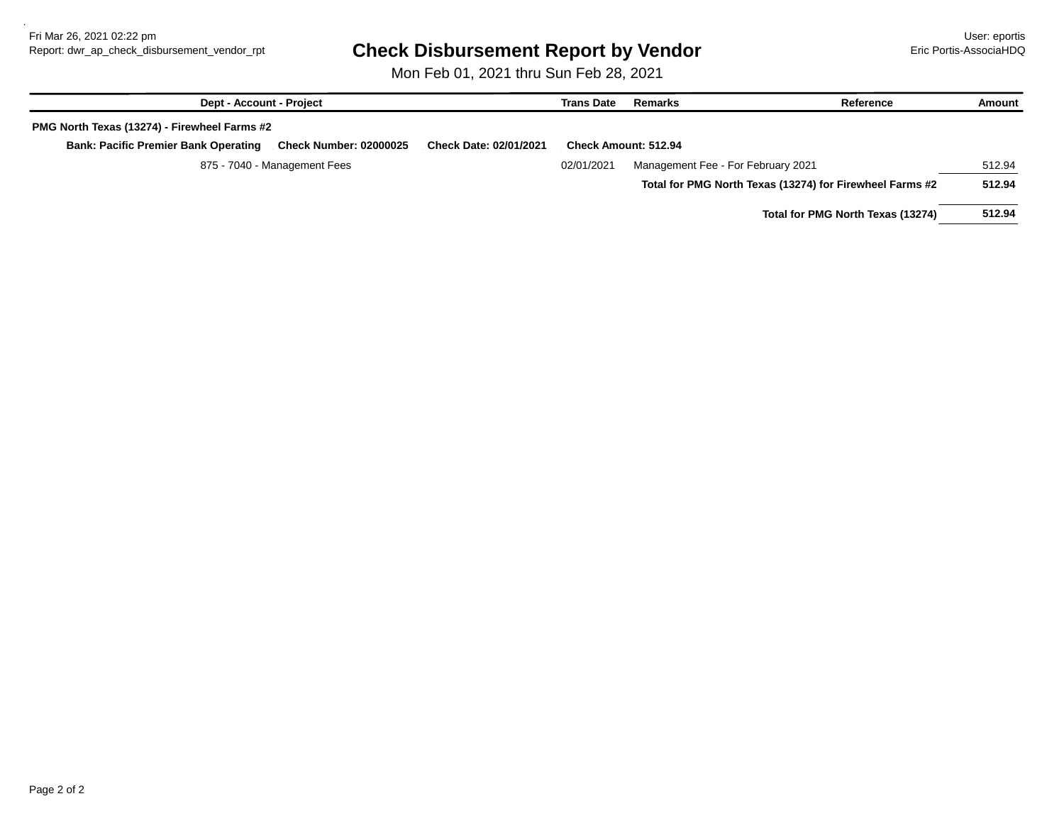### Report: dwr\_ap\_check\_disbursement\_vendor\_rpt **Check Disbursement Report by Vendor Example 19 Example 20 Example 20**

Mon Feb 01, 2021 thru Sun Feb 28, 2021

| <b>Dept - Account - Project</b>                                              |                               | <b>Trans Date</b>           | Remarks                            | Reference                                                | Amount |
|------------------------------------------------------------------------------|-------------------------------|-----------------------------|------------------------------------|----------------------------------------------------------|--------|
| PMG North Texas (13274) - Firewheel Farms #2                                 |                               |                             |                                    |                                                          |        |
| <b>Check Number: 02000025</b><br><b>Bank: Pacific Premier Bank Operating</b> | <b>Check Date: 02/01/2021</b> | <b>Check Amount: 512.94</b> |                                    |                                                          |        |
| 875 - 7040 - Management Fees                                                 |                               |                             | Management Fee - For February 2021 |                                                          | 512.94 |
|                                                                              |                               |                             |                                    | Total for PMG North Texas (13274) for Firewheel Farms #2 | 512.94 |
|                                                                              |                               |                             |                                    |                                                          |        |

**Total for PMG North Texas (13274) 512.94**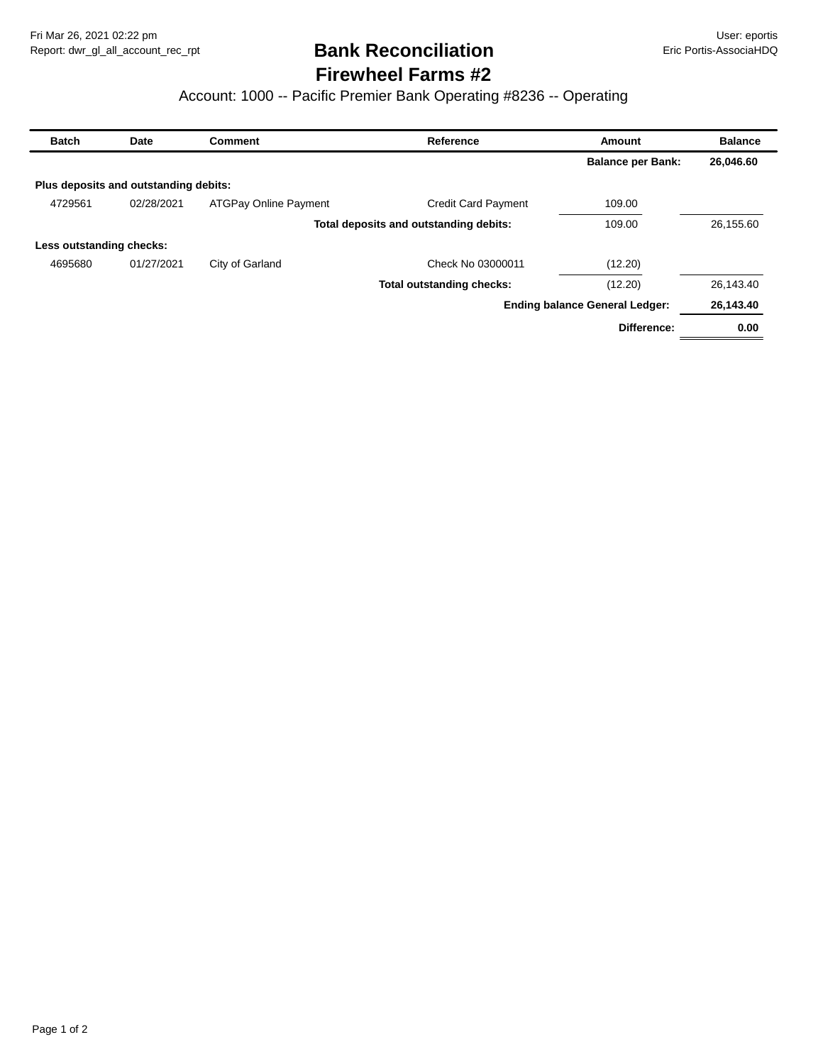## **Firewheel Farms #2 Bank Reconciliation**

#### Account: 1000 -- Pacific Premier Bank Operating #8236 -- Operating

| <b>Batch</b>             | Date                                  | <b>Comment</b>               | Reference                              | Amount                                | <b>Balance</b> |
|--------------------------|---------------------------------------|------------------------------|----------------------------------------|---------------------------------------|----------------|
|                          |                                       |                              |                                        | <b>Balance per Bank:</b>              | 26,046.60      |
|                          | Plus deposits and outstanding debits: |                              |                                        |                                       |                |
| 4729561                  | 02/28/2021                            | <b>ATGPay Online Payment</b> | <b>Credit Card Payment</b>             | 109.00                                |                |
|                          |                                       |                              | Total deposits and outstanding debits: | 109.00                                | 26,155.60      |
| Less outstanding checks: |                                       |                              |                                        |                                       |                |
| 4695680                  | 01/27/2021                            | City of Garland              | Check No 03000011                      | (12.20)                               |                |
|                          |                                       |                              | <b>Total outstanding checks:</b>       | (12.20)                               | 26,143.40      |
|                          |                                       |                              |                                        | <b>Ending balance General Ledger:</b> | 26,143.40      |
|                          |                                       |                              |                                        | Difference:                           | 0.00           |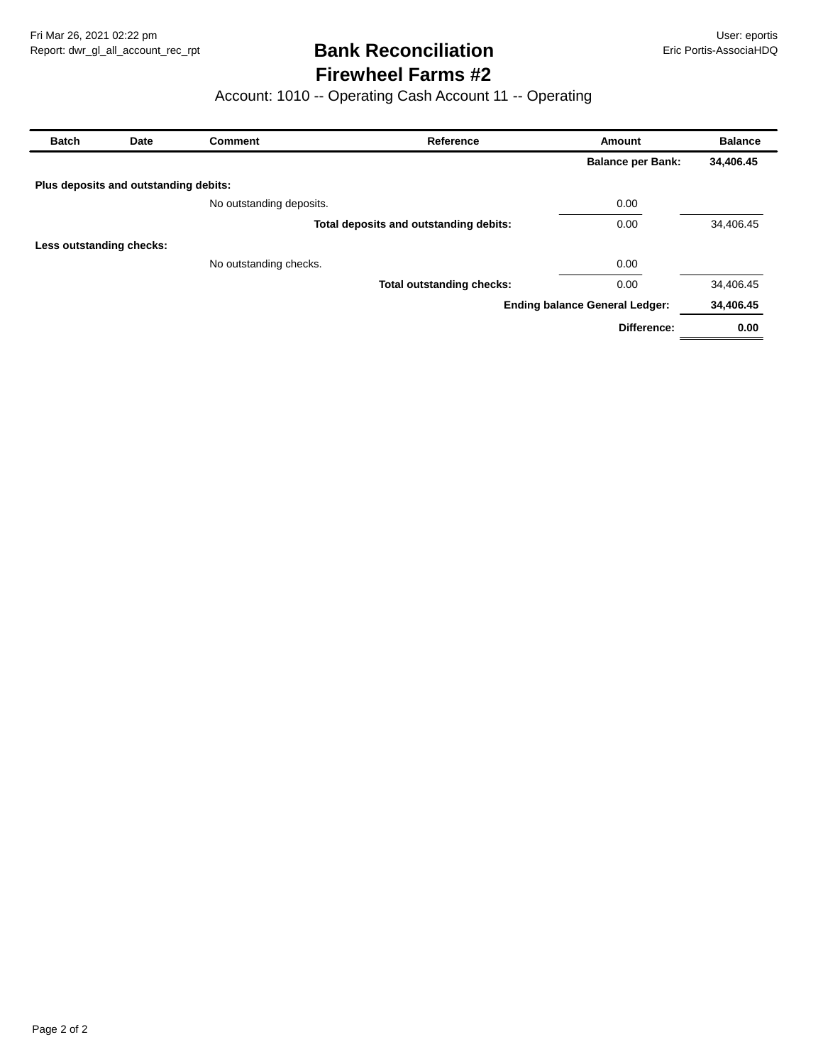### **Firewheel Farms #2 Bank Reconciliation**

### Account: 1010 -- Operating Cash Account 11 -- Operating

| <b>Batch</b><br>Date     |                                       | <b>Comment</b>           | Reference                              | Amount                                | <b>Balance</b> |  |
|--------------------------|---------------------------------------|--------------------------|----------------------------------------|---------------------------------------|----------------|--|
|                          |                                       |                          |                                        | <b>Balance per Bank:</b>              | 34,406.45      |  |
|                          | Plus deposits and outstanding debits: |                          |                                        |                                       |                |  |
|                          |                                       | No outstanding deposits. |                                        | 0.00                                  |                |  |
|                          |                                       |                          | Total deposits and outstanding debits: | 0.00                                  | 34,406.45      |  |
| Less outstanding checks: |                                       |                          |                                        |                                       |                |  |
|                          |                                       | No outstanding checks.   |                                        | 0.00                                  |                |  |
|                          |                                       |                          | <b>Total outstanding checks:</b>       | 0.00                                  | 34,406.45      |  |
|                          |                                       |                          |                                        | <b>Ending balance General Ledger:</b> | 34,406.45      |  |
|                          |                                       |                          |                                        | Difference:                           | 0.00           |  |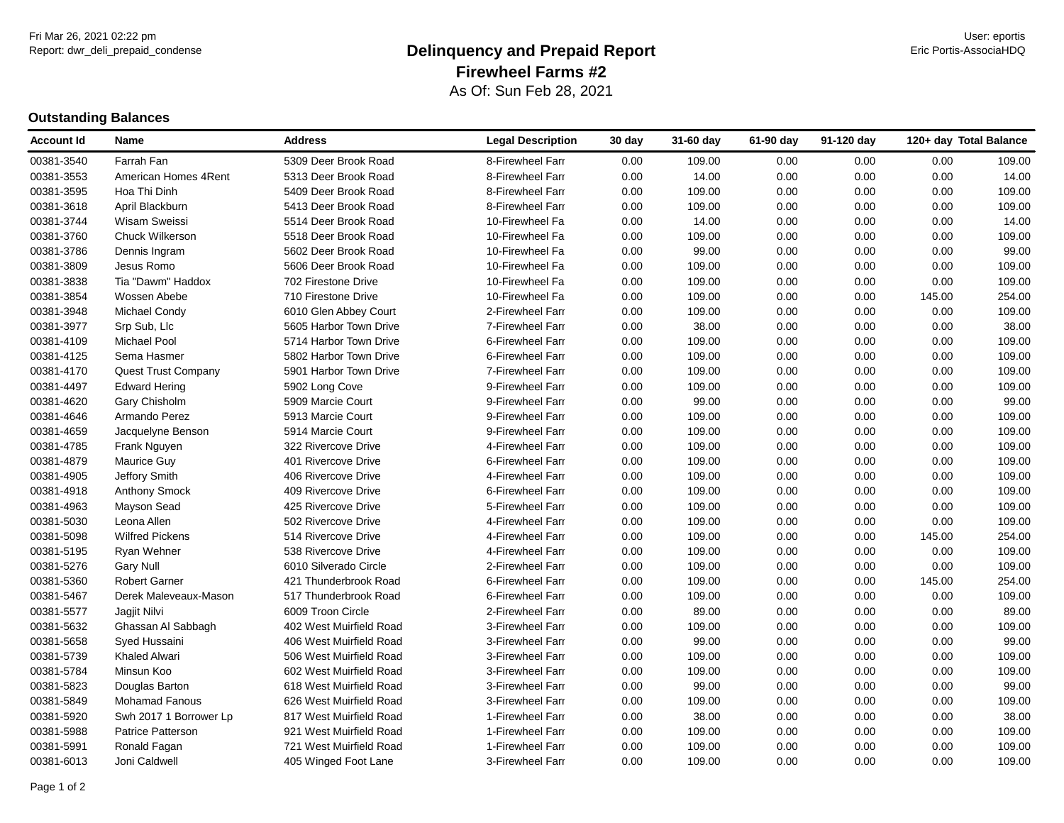#### Report: dwr\_deli\_prepaid\_condense **Eric Portis-AssociaHDQ Delinquency and Prepaid Report Example 19 and Prepaid Report** As Of: Sun Feb 28, 2021 **Firewheel Farms #2**

#### **Outstanding Balances**

| Account Id | Name                       | <b>Address</b>          | <b>Legal Description</b> | 30 day | 31-60 day | 61-90 day | 91-120 day |        | 120+ day Total Balance |
|------------|----------------------------|-------------------------|--------------------------|--------|-----------|-----------|------------|--------|------------------------|
| 00381-3540 | Farrah Fan                 | 5309 Deer Brook Road    | 8-Firewheel Farr         | 0.00   | 109.00    | 0.00      | 0.00       | 0.00   | 109.00                 |
| 00381-3553 | American Homes 4Rent       | 5313 Deer Brook Road    | 8-Firewheel Farr         | 0.00   | 14.00     | 0.00      | 0.00       | 0.00   | 14.00                  |
| 00381-3595 | Hoa Thi Dinh               | 5409 Deer Brook Road    | 8-Firewheel Farr         | 0.00   | 109.00    | 0.00      | 0.00       | 0.00   | 109.00                 |
| 00381-3618 | April Blackburn            | 5413 Deer Brook Road    | 8-Firewheel Farr         | 0.00   | 109.00    | 0.00      | 0.00       | 0.00   | 109.00                 |
| 00381-3744 | <b>Wisam Sweissi</b>       | 5514 Deer Brook Road    | 10-Firewheel Fa          | 0.00   | 14.00     | 0.00      | 0.00       | 0.00   | 14.00                  |
| 00381-3760 | Chuck Wilkerson            | 5518 Deer Brook Road    | 10-Firewheel Fa          | 0.00   | 109.00    | 0.00      | 0.00       | 0.00   | 109.00                 |
| 00381-3786 | Dennis Ingram              | 5602 Deer Brook Road    | 10-Firewheel Fa          | 0.00   | 99.00     | 0.00      | 0.00       | 0.00   | 99.00                  |
| 00381-3809 | Jesus Romo                 | 5606 Deer Brook Road    | 10-Firewheel Fa          | 0.00   | 109.00    | 0.00      | 0.00       | 0.00   | 109.00                 |
| 00381-3838 | Tia "Dawm" Haddox          | 702 Firestone Drive     | 10-Firewheel Fa          | 0.00   | 109.00    | 0.00      | 0.00       | 0.00   | 109.00                 |
| 00381-3854 | Wossen Abebe               | 710 Firestone Drive     | 10-Firewheel Fa          | 0.00   | 109.00    | 0.00      | 0.00       | 145.00 | 254.00                 |
| 00381-3948 | Michael Condy              | 6010 Glen Abbey Court   | 2-Firewheel Farr         | 0.00   | 109.00    | 0.00      | 0.00       | 0.00   | 109.00                 |
| 00381-3977 | Srp Sub, Llc               | 5605 Harbor Town Drive  | 7-Firewheel Farr         | 0.00   | 38.00     | 0.00      | 0.00       | 0.00   | 38.00                  |
| 00381-4109 | Michael Pool               | 5714 Harbor Town Drive  | 6-Firewheel Farr         | 0.00   | 109.00    | 0.00      | 0.00       | 0.00   | 109.00                 |
| 00381-4125 | Sema Hasmer                | 5802 Harbor Town Drive  | 6-Firewheel Farr         | 0.00   | 109.00    | 0.00      | 0.00       | 0.00   | 109.00                 |
| 00381-4170 | <b>Quest Trust Company</b> | 5901 Harbor Town Drive  | 7-Firewheel Farr         | 0.00   | 109.00    | 0.00      | 0.00       | 0.00   | 109.00                 |
| 00381-4497 | <b>Edward Hering</b>       | 5902 Long Cove          | 9-Firewheel Farr         | 0.00   | 109.00    | 0.00      | 0.00       | 0.00   | 109.00                 |
| 00381-4620 | Gary Chisholm              | 5909 Marcie Court       | 9-Firewheel Farr         | 0.00   | 99.00     | 0.00      | 0.00       | 0.00   | 99.00                  |
| 00381-4646 | Armando Perez              | 5913 Marcie Court       | 9-Firewheel Farr         | 0.00   | 109.00    | 0.00      | 0.00       | 0.00   | 109.00                 |
| 00381-4659 | Jacquelyne Benson          | 5914 Marcie Court       | 9-Firewheel Farr         | 0.00   | 109.00    | 0.00      | 0.00       | 0.00   | 109.00                 |
| 00381-4785 | Frank Nguyen               | 322 Rivercove Drive     | 4-Firewheel Farr         | 0.00   | 109.00    | 0.00      | 0.00       | 0.00   | 109.00                 |
| 00381-4879 | Maurice Guy                | 401 Rivercove Drive     | 6-Firewheel Farr         | 0.00   | 109.00    | 0.00      | 0.00       | 0.00   | 109.00                 |
| 00381-4905 | Jeffory Smith              | 406 Rivercove Drive     | 4-Firewheel Farr         | 0.00   | 109.00    | 0.00      | 0.00       | 0.00   | 109.00                 |
| 00381-4918 | Anthony Smock              | 409 Rivercove Drive     | 6-Firewheel Farr         | 0.00   | 109.00    | 0.00      | 0.00       | 0.00   | 109.00                 |
| 00381-4963 | Mayson Sead                | 425 Rivercove Drive     | 5-Firewheel Farr         | 0.00   | 109.00    | 0.00      | 0.00       | 0.00   | 109.00                 |
| 00381-5030 | Leona Allen                | 502 Rivercove Drive     | 4-Firewheel Farr         | 0.00   | 109.00    | 0.00      | 0.00       | 0.00   | 109.00                 |
| 00381-5098 | <b>Wilfred Pickens</b>     | 514 Rivercove Drive     | 4-Firewheel Farr         | 0.00   | 109.00    | 0.00      | 0.00       | 145.00 | 254.00                 |
| 00381-5195 | Ryan Wehner                | 538 Rivercove Drive     | 4-Firewheel Farr         | 0.00   | 109.00    | 0.00      | 0.00       | 0.00   | 109.00                 |
| 00381-5276 | <b>Gary Null</b>           | 6010 Silverado Circle   | 2-Firewheel Farr         | 0.00   | 109.00    | 0.00      | 0.00       | 0.00   | 109.00                 |
| 00381-5360 | <b>Robert Garner</b>       | 421 Thunderbrook Road   | 6-Firewheel Farr         | 0.00   | 109.00    | 0.00      | 0.00       | 145.00 | 254.00                 |
| 00381-5467 | Derek Maleveaux-Mason      | 517 Thunderbrook Road   | 6-Firewheel Farr         | 0.00   | 109.00    | 0.00      | 0.00       | 0.00   | 109.00                 |
| 00381-5577 | Jagjit Nilvi               | 6009 Troon Circle       | 2-Firewheel Farr         | 0.00   | 89.00     | 0.00      | 0.00       | 0.00   | 89.00                  |
| 00381-5632 | Ghassan Al Sabbagh         | 402 West Muirfield Road | 3-Firewheel Farr         | 0.00   | 109.00    | 0.00      | 0.00       | 0.00   | 109.00                 |
| 00381-5658 | Syed Hussaini              | 406 West Muirfield Road | 3-Firewheel Farr         | 0.00   | 99.00     | 0.00      | 0.00       | 0.00   | 99.00                  |
| 00381-5739 | <b>Khaled Alwari</b>       | 506 West Muirfield Road | 3-Firewheel Farr         | 0.00   | 109.00    | 0.00      | 0.00       | 0.00   | 109.00                 |
| 00381-5784 | Minsun Koo                 | 602 West Muirfield Road | 3-Firewheel Farr         | 0.00   | 109.00    | 0.00      | 0.00       | 0.00   | 109.00                 |
| 00381-5823 | Douglas Barton             | 618 West Muirfield Road | 3-Firewheel Farr         | 0.00   | 99.00     | 0.00      | 0.00       | 0.00   | 99.00                  |
| 00381-5849 | Mohamad Fanous             | 626 West Muirfield Road | 3-Firewheel Farr         | 0.00   | 109.00    | 0.00      | 0.00       | 0.00   | 109.00                 |
| 00381-5920 | Swh 2017 1 Borrower Lp     | 817 West Muirfield Road | 1-Firewheel Farr         | 0.00   | 38.00     | 0.00      | 0.00       | 0.00   | 38.00                  |
| 00381-5988 | Patrice Patterson          | 921 West Muirfield Road | 1-Firewheel Farr         | 0.00   | 109.00    | 0.00      | 0.00       | 0.00   | 109.00                 |
| 00381-5991 | Ronald Fagan               | 721 West Muirfield Road | 1-Firewheel Farr         | 0.00   | 109.00    | 0.00      | 0.00       | 0.00   | 109.00                 |
| 00381-6013 | Joni Caldwell              | 405 Winged Foot Lane    | 3-Firewheel Farr         | 0.00   | 109.00    | 0.00      | 0.00       | 0.00   | 109.00                 |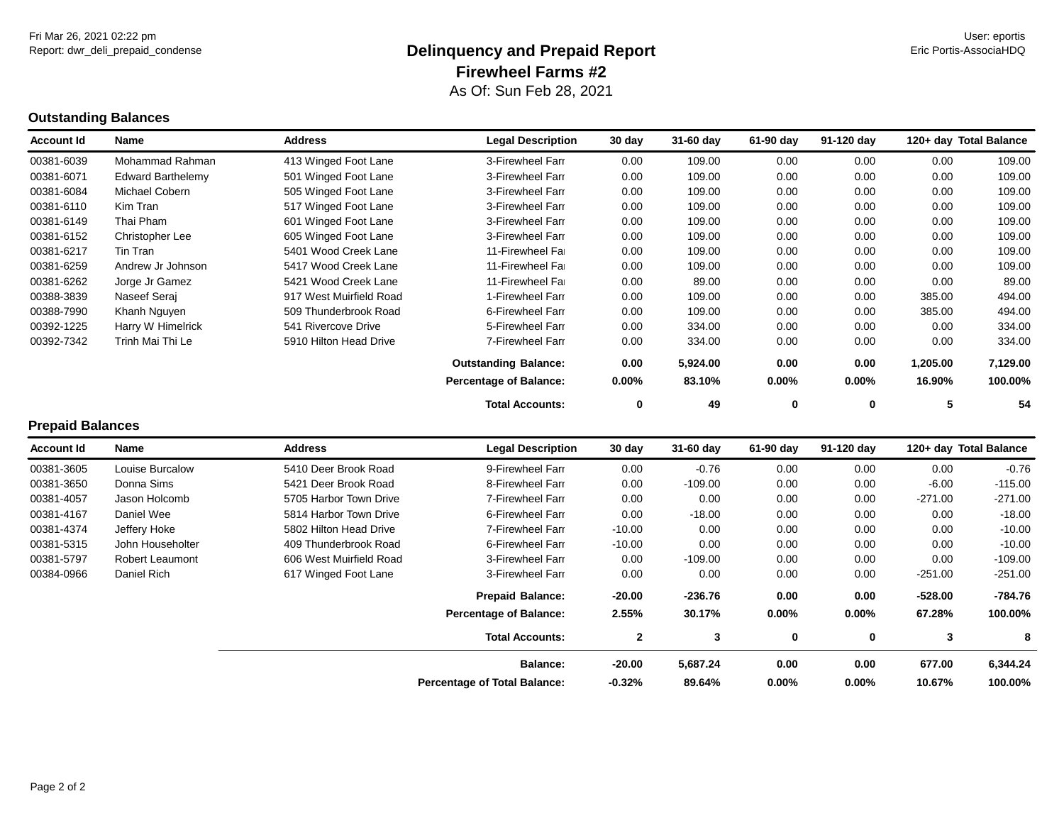# **Outstanding Balances**

| <b>Account Id</b> | Name                     | <b>Address</b>          | <b>Legal Description</b>      | 30 day   | 31-60 day | 61-90 day | 91-120 day | 120+ day Total Balance |          |
|-------------------|--------------------------|-------------------------|-------------------------------|----------|-----------|-----------|------------|------------------------|----------|
| 00381-6039        | Mohammad Rahman          | 413 Winged Foot Lane    | 3-Firewheel Farr              | 0.00     | 109.00    | 0.00      | 0.00       | 0.00                   | 109.00   |
| 00381-6071        | <b>Edward Barthelemy</b> | 501 Winged Foot Lane    | 3-Firewheel Farr              | 0.00     | 109.00    | 0.00      | 0.00       | 0.00                   | 109.00   |
| 00381-6084        | Michael Cobern           | 505 Winged Foot Lane    | 3-Firewheel Farr              | 0.00     | 109.00    | 0.00      | 0.00       | 0.00                   | 109.00   |
| 00381-6110        | Kim Tran                 | 517 Winged Foot Lane    | 3-Firewheel Farr              | 0.00     | 109.00    | 0.00      | 0.00       | 0.00                   | 109.00   |
| 00381-6149        | Thai Pham                | 601 Winged Foot Lane    | 3-Firewheel Farr              | 0.00     | 109.00    | 0.00      | 0.00       | 0.00                   | 109.00   |
| 00381-6152        | Christopher Lee          | 605 Winged Foot Lane    | 3-Firewheel Farr              | 0.00     | 109.00    | 0.00      | 0.00       | 0.00                   | 109.00   |
| 00381-6217        | Tin Tran                 | 5401 Wood Creek Lane    | 11-Firewheel Far              | 0.00     | 109.00    | 0.00      | 0.00       | 0.00                   | 109.00   |
| 00381-6259        | Andrew Jr Johnson        | 5417 Wood Creek Lane    | 11-Firewheel Far              | 0.00     | 109.00    | 0.00      | 0.00       | 0.00                   | 109.00   |
| 00381-6262        | Jorge Jr Gamez           | 5421 Wood Creek Lane    | 11-Firewheel Fai              | 0.00     | 89.00     | 0.00      | 0.00       | 0.00                   | 89.00    |
| 00388-3839        | Naseef Seraj             | 917 West Muirfield Road | 1-Firewheel Farr              | 0.00     | 109.00    | 0.00      | 0.00       | 385.00                 | 494.00   |
| 00388-7990        | Khanh Nguyen             | 509 Thunderbrook Road   | 6-Firewheel Farr              | 0.00     | 109.00    | 0.00      | 0.00       | 385.00                 | 494.00   |
| 00392-1225        | Harry W Himelrick        | 541 Rivercove Drive     | 5-Firewheel Farr              | 0.00     | 334.00    | 0.00      | 0.00       | 0.00                   | 334.00   |
| 00392-7342        | Trinh Mai Thi Le         | 5910 Hilton Head Drive  | 7-Firewheel Farr              | 0.00     | 334.00    | 0.00      | 0.00       | 0.00                   | 334.00   |
|                   |                          |                         | <b>Outstanding Balance:</b>   | 0.00     | 5,924.00  | 0.00      | 0.00       | 1,205.00               | 7,129.00 |
|                   |                          |                         | <b>Percentage of Balance:</b> | $0.00\%$ | 83.10%    | $0.00\%$  | $0.00\%$   | 16.90%                 | 100.00%  |
|                   |                          |                         | <b>Total Accounts:</b>        | 0        | 49        | 0         | 0          | 5                      | 54       |
| Dranaid Dalanaac  |                          |                         |                               |          |           |           |            |                        |          |

| <b>Prepaid Balances</b> |
|-------------------------|
|                         |

| <b>Account Id</b> | Name                   | <b>Address</b>          | <b>Legal Description</b>            | 30 day       | 31-60 day | 61-90 day | 91-120 day | 120+ day Total Balance |           |
|-------------------|------------------------|-------------------------|-------------------------------------|--------------|-----------|-----------|------------|------------------------|-----------|
| 00381-3605        | Louise Burcalow        | 5410 Deer Brook Road    | 9-Firewheel Farr                    | 0.00         | $-0.76$   | 0.00      | 0.00       | 0.00                   | $-0.76$   |
| 00381-3650        | Donna Sims             | 5421 Deer Brook Road    | 8-Firewheel Farr                    | 0.00         | $-109.00$ | 0.00      | 0.00       | $-6.00$                | $-115.00$ |
| 00381-4057        | Jason Holcomb          | 5705 Harbor Town Drive  | 7-Firewheel Farr                    | 0.00         | 0.00      | 0.00      | 0.00       | $-271.00$              | $-271.00$ |
| 00381-4167        | Daniel Wee             | 5814 Harbor Town Drive  | 6-Firewheel Farr                    | 0.00         | $-18.00$  | 0.00      | 0.00       | 0.00                   | $-18.00$  |
| 00381-4374        | Jeffery Hoke           | 5802 Hilton Head Drive  | 7-Firewheel Farr                    | $-10.00$     | 0.00      | 0.00      | 0.00       | 0.00                   | $-10.00$  |
| 00381-5315        | John Householter       | 409 Thunderbrook Road   | 6-Firewheel Farr                    | $-10.00$     | 0.00      | 0.00      | 0.00       | 0.00                   | $-10.00$  |
| 00381-5797        | <b>Robert Leaumont</b> | 606 West Muirfield Road | 3-Firewheel Farr                    | 0.00         | $-109.00$ | 0.00      | 0.00       | 0.00                   | $-109.00$ |
| 00384-0966        | Daniel Rich            | 617 Winged Foot Lane    | 3-Firewheel Farr                    | 0.00         | 0.00      | 0.00      | 0.00       | $-251.00$              | $-251.00$ |
|                   |                        |                         | <b>Prepaid Balance:</b>             | $-20.00$     | $-236.76$ | 0.00      | 0.00       | $-528.00$              | -784.76   |
|                   |                        |                         | <b>Percentage of Balance:</b>       | 2.55%        | 30.17%    | 0.00%     | $0.00\%$   | 67.28%                 | 100.00%   |
|                   |                        |                         | <b>Total Accounts:</b>              | $\mathbf{2}$ | 3         | 0         | 0          | 3                      | 8         |
|                   |                        |                         | <b>Balance:</b>                     | $-20.00$     | 5,687.24  | 0.00      | 0.00       | 677.00                 | 6,344.24  |
|                   |                        |                         | <b>Percentage of Total Balance:</b> | $-0.32%$     | 89.64%    | 0.00%     | $0.00\%$   | 10.67%                 | 100.00%   |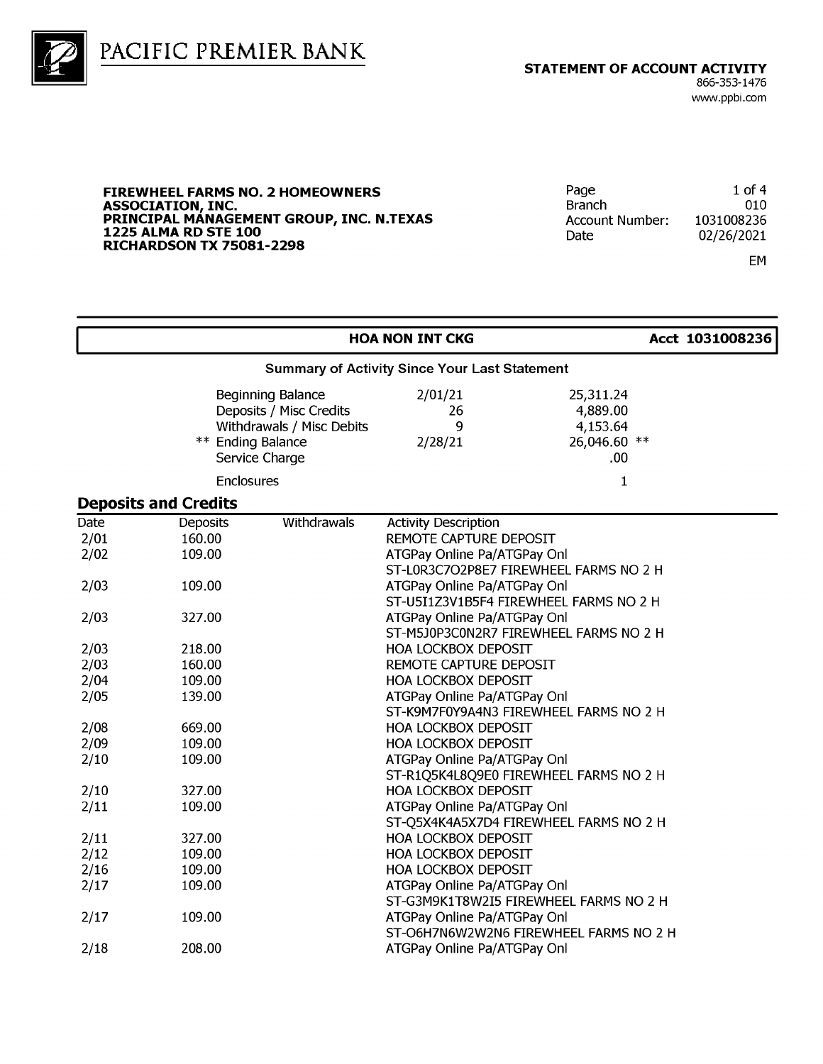



#### **FIREWHEEL FARMS NO. 2 HOMEOWNERS** ASSOCIATION, INC.<br>PRINCIPAL MANAGEMENT GROUP, INC. N.TEXAS **1225 ALMA RD STE 100 RICHARDSON TX 75081-2298**

| Page                   | $1$ of 4   |
|------------------------|------------|
| <b>Branch</b>          | 010        |
| <b>Account Number:</b> | 1031008236 |
| Date                   | 02/26/2021 |
|                        |            |

EM

|                      |                                                      |                                                                                             | <b>HOA NON INT CKG</b>                                                               |                                                          | Acct 1031008236 |  |  |  |
|----------------------|------------------------------------------------------|---------------------------------------------------------------------------------------------|--------------------------------------------------------------------------------------|----------------------------------------------------------|-----------------|--|--|--|
|                      | <b>Summary of Activity Since Your Last Statement</b> |                                                                                             |                                                                                      |                                                          |                 |  |  |  |
|                      | ** Ending Balance                                    | Beginning Balance<br>Deposits / Misc Credits<br>Withdrawals / Misc Debits<br>Service Charge | 2/01/21<br>26<br>9<br>2/28/21                                                        | 25,311.24<br>4,889.00<br>4,153.64<br>26,046.60 **<br>.00 |                 |  |  |  |
|                      | <b>Enclosures</b>                                    |                                                                                             |                                                                                      | 1                                                        |                 |  |  |  |
|                      | <b>Deposits and Credits</b>                          |                                                                                             |                                                                                      |                                                          |                 |  |  |  |
| Date<br>2/01<br>2/02 | <b>Deposits</b><br>160.00<br>109.00                  | Withdrawals                                                                                 | <b>Activity Description</b><br>REMOTE CAPTURE DEPOSIT<br>ATGPay Online Pa/ATGPay Onl | ST-L0R3C7O2P8E7 FIREWHEEL FARMS NO 2 H                   |                 |  |  |  |
| 2/03                 | 109.00                                               |                                                                                             | ATGPay Online Pa/ATGPay Onl                                                          | ST-U5I1Z3V1B5F4 FIREWHEEL FARMS NO 2 H                   |                 |  |  |  |
| 2/03                 | 327.00                                               |                                                                                             | ATGPay Online Pa/ATGPay Onl                                                          | ST-M5J0P3C0N2R7 FIREWHEEL FARMS NO 2 H                   |                 |  |  |  |
| 2/03                 | 218.00                                               |                                                                                             | <b>HOA LOCKBOX DEPOSIT</b>                                                           |                                                          |                 |  |  |  |
| 2/03                 | 160.00                                               |                                                                                             | REMOTE CAPTURE DEPOSIT                                                               |                                                          |                 |  |  |  |
| 2/04                 | 109.00                                               |                                                                                             | <b>HOA LOCKBOX DEPOSIT</b>                                                           |                                                          |                 |  |  |  |
| 2/05                 | 139.00                                               |                                                                                             | ATGPay Online Pa/ATGPay Onl                                                          | ST-K9M7F0Y9A4N3 FIREWHEEL FARMS NO 2 H                   |                 |  |  |  |
| 2/08                 | 669.00                                               |                                                                                             | <b>HOA LOCKBOX DEPOSIT</b>                                                           |                                                          |                 |  |  |  |
| 2/09                 | 109.00                                               |                                                                                             | <b>HOA LOCKBOX DEPOSIT</b>                                                           |                                                          |                 |  |  |  |
| 2/10                 | 109.00                                               |                                                                                             | ATGPay Online Pa/ATGPay Onl                                                          | ST-R1Q5K4L8Q9E0 FIREWHEEL FARMS NO 2 H                   |                 |  |  |  |
| 2/10                 | 327.00                                               |                                                                                             | HOA LOCKBOX DEPOSIT                                                                  |                                                          |                 |  |  |  |
| 2/11                 | 109.00                                               |                                                                                             | ATGPay Online Pa/ATGPay Onl                                                          | ST-Q5X4K4A5X7D4 FIREWHEEL FARMS NO 2 H                   |                 |  |  |  |
| 2/11                 | 327.00                                               |                                                                                             | <b>HOA LOCKBOX DEPOSIT</b>                                                           |                                                          |                 |  |  |  |
| 2/12                 | 109.00                                               |                                                                                             | <b>HOA LOCKBOX DEPOSIT</b>                                                           |                                                          |                 |  |  |  |
| 2/16                 | 109.00                                               |                                                                                             | <b>HOA LOCKBOX DEPOSIT</b>                                                           |                                                          |                 |  |  |  |
| 2/17                 | 109.00                                               |                                                                                             | ATGPay Online Pa/ATGPay Onl                                                          | ST-G3M9K1T8W2I5 FIREWHEEL FARMS NO 2 H                   |                 |  |  |  |
| 2/17                 | 109.00                                               |                                                                                             | ATGPay Online Pa/ATGPay Onl                                                          | ST-O6H7N6W2W2N6 FIREWHEEL FARMS NO 2 H                   |                 |  |  |  |
| 2/18                 | 208.00                                               |                                                                                             | ATGPay Online Pa/ATGPay Onl                                                          |                                                          |                 |  |  |  |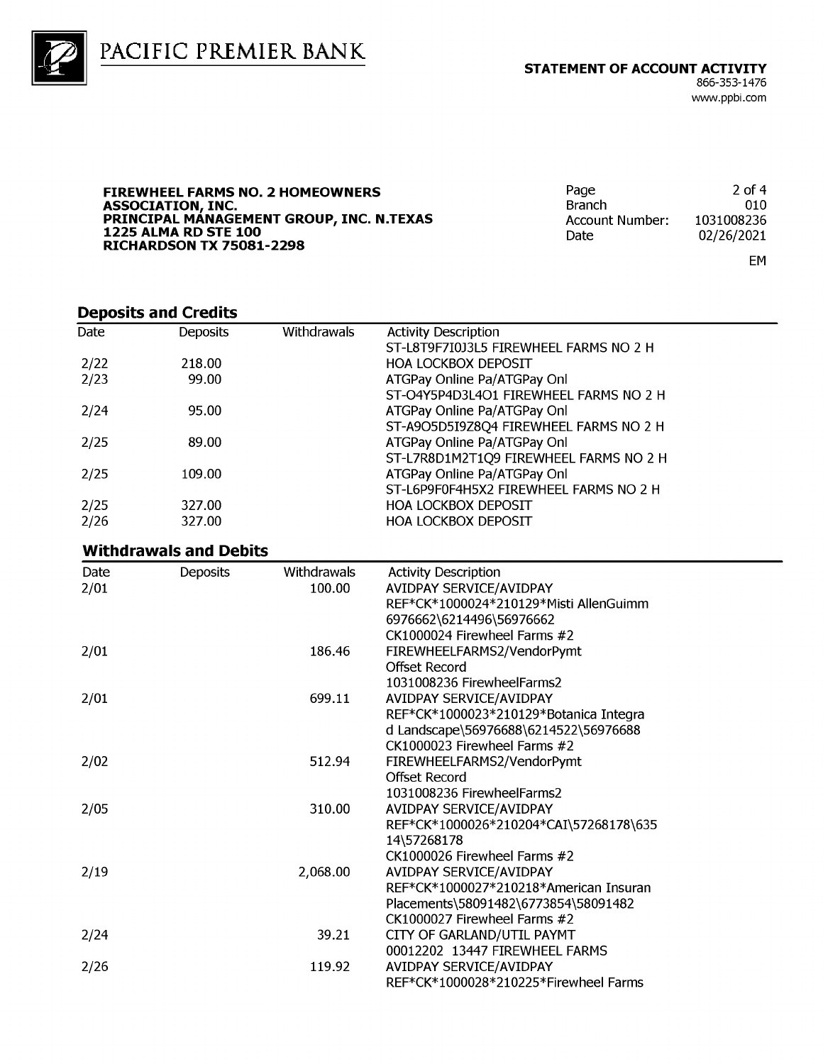

**FIREWHEEL FARMS NO. 2 HOMEOWNERS** ASSOCIATION, INC.<br>PRINCIPAL MANAGEMENT GROUP, INC. N.TEXAS **1225 ALMA RD STE 100 RICHARDSON TX 75081-2298** 

Page  $2$  of 4 **Branch** 010 1031008236 **Account Number:** Date 02/26/2021

EM

#### **Deposits and Credits**

| ---------- |                 |             |                                        |  |
|------------|-----------------|-------------|----------------------------------------|--|
| Date       | <b>Deposits</b> | Withdrawals | <b>Activity Description</b>            |  |
|            |                 |             | ST-L8T9F7I0J3L5 FIREWHEEL FARMS NO 2 H |  |
| 2/22       | 218.00          |             | <b>HOA LOCKBOX DEPOSIT</b>             |  |
| 2/23       | 99.00           |             | ATGPay Online Pa/ATGPay Onl            |  |
|            |                 |             | ST-04Y5P4D3L4O1 FIREWHEEL FARMS NO 2 H |  |
| 2/24       | 95.00           |             | ATGPay Online Pa/ATGPay Onl            |  |
|            |                 |             | ST-A9O5D5I9Z8Q4 FIREWHEEL FARMS NO 2 H |  |
| 2/25       | 89.00           |             | ATGPay Online Pa/ATGPay Onl            |  |
|            |                 |             | ST-L7R8D1M2T1Q9 FIREWHEEL FARMS NO 2 H |  |
| 2/25       | 109.00          |             | ATGPay Online Pa/ATGPay Onl            |  |
|            |                 |             | ST-L6P9F0F4H5X2 FIREWHEEL FARMS NO 2 H |  |
| 2/25       | 327.00          |             | <b>HOA LOCKBOX DEPOSIT</b>             |  |
| 2/26       | 327.00          |             | <b>HOA LOCKBOX DEPOSIT</b>             |  |
|            |                 |             |                                        |  |

#### **Withdrawals and Debits**

| Date | <b>Deposits</b> | <b>Withdrawals</b> | <b>Activity Description</b>            |
|------|-----------------|--------------------|----------------------------------------|
| 2/01 |                 | 100.00             | AVIDPAY SERVICE/AVIDPAY                |
|      |                 |                    | REF*CK*1000024*210129*Misti AllenGuimm |
|      |                 |                    | 6976662\6214496\56976662               |
|      |                 |                    | CK1000024 Firewheel Farms #2           |
| 2/01 |                 | 186.46             | FIREWHEELFARMS2/VendorPymt             |
|      |                 |                    | Offset Record                          |
|      |                 |                    | 1031008236 FirewheelFarms2             |
| 2/01 |                 | 699.11             | AVIDPAY SERVICE/AVIDPAY                |
|      |                 |                    | REF*CK*1000023*210129*Botanica Integra |
|      |                 |                    | d Landscape\56976688\6214522\56976688  |
|      |                 |                    | CK1000023 Firewheel Farms #2           |
| 2/02 |                 | 512.94             | FIREWHEELFARMS2/VendorPymt             |
|      |                 |                    | Offset Record                          |
|      |                 |                    | 1031008236 FirewheelFarms2             |
| 2/05 |                 | 310.00             | AVIDPAY SERVICE/AVIDPAY                |
|      |                 |                    | REF*CK*1000026*210204*CAI\57268178\635 |
|      |                 |                    | 14\57268178                            |
|      |                 |                    | $CK1000026$ Firewheel Farms $#2$       |
| 2/19 |                 | 2,068.00           | AVIDPAY SERVICE/AVIDPAY                |
|      |                 |                    | REF*CK*1000027*210218*American Insuran |
|      |                 |                    | Placements\58091482\6773854\58091482   |
|      |                 |                    | CK1000027 Firewheel Farms #2           |
| 2/24 |                 | 39.21              | CITY OF GARLAND/UTIL PAYMT             |
|      |                 |                    | 00012202 13447 FIREWHEEL FARMS         |
| 2/26 |                 | 119.92             | AVIDPAY SERVICE/AVIDPAY                |
|      |                 |                    | REF*CK*1000028*210225*Firewheel Farms  |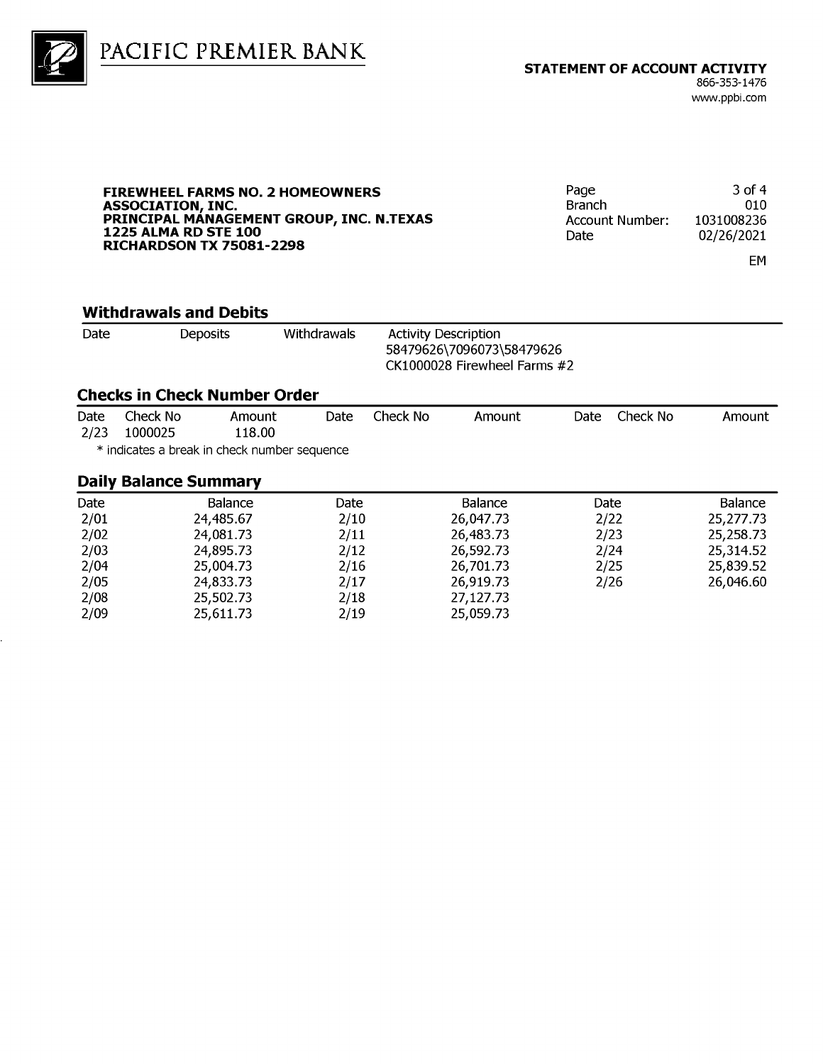

PACIFIC PREMIER BANK

#### **FIREWHEEL FARMS NO. 2 HOMEOWNERS** ASSOCIATION, INC.<br>PRINCIPAL MANAGEMENT GROUP, INC. N.TEXAS **1225 ALMA RD STE 100 RICHARDSON TX 75081-2298**

3 of 4 Page **Branch** 010 1031008236 Account Number: Date 02/26/2021

EM

#### **Withdrawals and Debits**

| Date | <b>Deposits</b> | Withdrawals | <b>Activity Description</b>  |
|------|-----------------|-------------|------------------------------|
|      |                 |             | 58479626\7096073\58479626    |
|      |                 |             | CK1000028 Firewheel Farms #2 |

#### **Checks in Check Number Order**

| Date | Check No | Amount | Date Check No | Amount | Date Check No | Amount |
|------|----------|--------|---------------|--------|---------------|--------|
| 2/23 | 1000025  | 118.00 |               |        |               |        |

\* indicates a break in check number sequence

#### **Daily Balance Summary**

| Date | Balance   | Date | Balance   | Date | <b>Balance</b> |
|------|-----------|------|-----------|------|----------------|
| 2/01 | 24,485.67 | 2/10 | 26,047.73 | 2/22 | 25,277.73      |
| 2/02 | 24,081.73 | 2/11 | 26,483.73 | 2/23 | 25,258.73      |
| 2/03 | 24,895.73 | 2/12 | 26,592.73 | 2/24 | 25,314.52      |
| 2/04 | 25,004.73 | 2/16 | 26,701.73 | 2/25 | 25,839.52      |
| 2/05 | 24,833.73 | 2/17 | 26,919.73 | 2/26 | 26,046.60      |
| 2/08 | 25,502.73 | 2/18 | 27,127.73 |      |                |
| 2/09 | 25,611.73 | 2/19 | 25,059.73 |      |                |
|      |           |      |           |      |                |